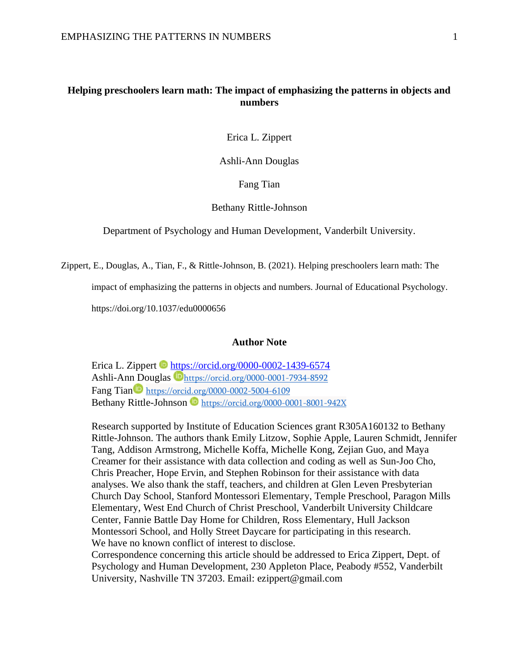## **Helping preschoolers learn math: The impact of emphasizing the patterns in objects and numbers**

Erica L. Zippert

Ashli-Ann Douglas

Fang Tian

#### Bethany Rittle-Johnson

Department of Psychology and Human Development, Vanderbilt University.

Zippert, E., Douglas, A., Tian, F., & Rittle-Johnson, B. (2021). Helping preschoolers learn math: The

impact of emphasizing the patterns in objects and numbers. Journal of Educational Psychology.

https://doi.org/10.1037/edu0000656

## **Author Note**

Erica L. Zippert  $\blacksquare$  <https://orcid.org/0000-0002-1439-6574> Ashli-Ann Douglas <https://orcid.org/0000-0001-7934-8592> Fang Tian <https://orcid.org/0000-0002-5004-6109> BethanyRittle-Johnson <https://orcid.org/0000-0001-8001-942X>

Research supported by Institute of Education Sciences grant R305A160132 to Bethany Rittle-Johnson. The authors thank Emily Litzow, Sophie Apple, Lauren Schmidt, Jennifer Tang, Addison Armstrong, Michelle Koffa, Michelle Kong, Zejian Guo, and Maya Creamer for their assistance with data collection and coding as well as Sun-Joo Cho, Chris Preacher, Hope Ervin, and Stephen Robinson for their assistance with data analyses. We also thank the staff, teachers, and children at Glen Leven Presbyterian Church Day School, Stanford Montessori Elementary, Temple Preschool, Paragon Mills Elementary, West End Church of Christ Preschool, Vanderbilt University Childcare Center, Fannie Battle Day Home for Children, Ross Elementary, Hull Jackson Montessori School, and Holly Street Daycare for participating in this research. We have no known conflict of interest to disclose.

Correspondence concerning this article should be addressed to Erica Zippert, Dept. of Psychology and Human Development, 230 Appleton Place, Peabody #552, Vanderbilt University, Nashville TN 37203. Email: ezippert@gmail.com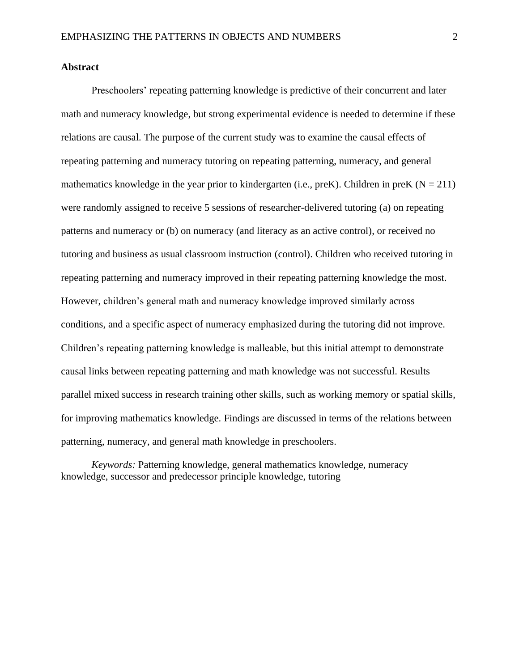### **Abstract**

Preschoolers' repeating patterning knowledge is predictive of their concurrent and later math and numeracy knowledge, but strong experimental evidence is needed to determine if these relations are causal. The purpose of the current study was to examine the causal effects of repeating patterning and numeracy tutoring on repeating patterning, numeracy, and general mathematics knowledge in the year prior to kindergarten (i.e.,  $preK$ ). Children in preK ( $N = 211$ ) were randomly assigned to receive 5 sessions of researcher-delivered tutoring (a) on repeating patterns and numeracy or (b) on numeracy (and literacy as an active control), or received no tutoring and business as usual classroom instruction (control). Children who received tutoring in repeating patterning and numeracy improved in their repeating patterning knowledge the most. However, children's general math and numeracy knowledge improved similarly across conditions, and a specific aspect of numeracy emphasized during the tutoring did not improve. Children's repeating patterning knowledge is malleable, but this initial attempt to demonstrate causal links between repeating patterning and math knowledge was not successful. Results parallel mixed success in research training other skills, such as working memory or spatial skills, for improving mathematics knowledge. Findings are discussed in terms of the relations between patterning, numeracy, and general math knowledge in preschoolers.

*Keywords:* Patterning knowledge, general mathematics knowledge, numeracy knowledge, successor and predecessor principle knowledge, tutoring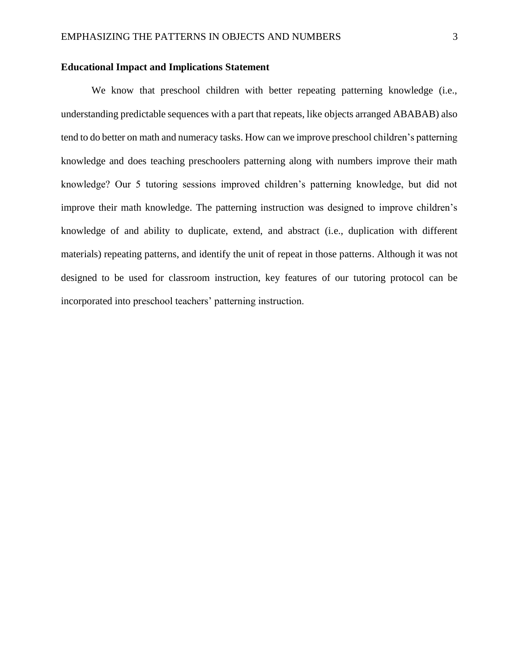## **Educational Impact and Implications Statement**

We know that preschool children with better repeating patterning knowledge (i.e., understanding predictable sequences with a part that repeats, like objects arranged ABABAB) also tend to do better on math and numeracy tasks. How can we improve preschool children's patterning knowledge and does teaching preschoolers patterning along with numbers improve their math knowledge? Our 5 tutoring sessions improved children's patterning knowledge, but did not improve their math knowledge. The patterning instruction was designed to improve children's knowledge of and ability to duplicate, extend, and abstract (i.e., duplication with different materials) repeating patterns, and identify the unit of repeat in those patterns. Although it was not designed to be used for classroom instruction, key features of our tutoring protocol can be incorporated into preschool teachers' patterning instruction.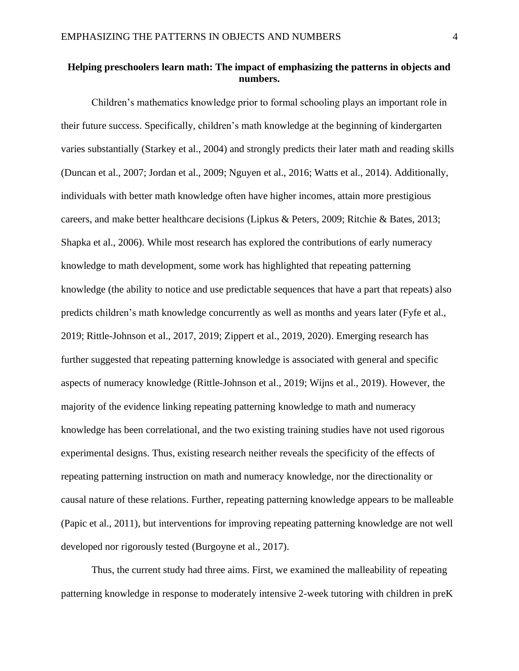## **Helping preschoolers learn math: The impact of emphasizing the patterns in objects and numbers.**

Children's mathematics knowledge prior to formal schooling plays an important role in their future success. Specifically, children's math knowledge at the beginning of kindergarten varies substantially (Starkey et al., 2004) and strongly predicts their later math and reading skills (Duncan et al., 2007; Jordan et al., 2009; Nguyen et al., 2016; Watts et al., 2014). Additionally, individuals with better math knowledge often have higher incomes, attain more prestigious careers, and make better healthcare decisions (Lipkus & Peters, 2009; Ritchie & Bates, 2013; Shapka et al., 2006). While most research has explored the contributions of early numeracy knowledge to math development, some work has highlighted that repeating patterning knowledge (the ability to notice and use predictable sequences that have a part that repeats) also predicts children's math knowledge concurrently as well as months and years later (Fyfe et al., 2019; Rittle-Johnson et al., 2017, 2019; Zippert et al., 2019, 2020). Emerging research has further suggested that repeating patterning knowledge is associated with general and specific aspects of numeracy knowledge (Rittle-Johnson et al., 2019; Wijns et al., 2019). However, the majority of the evidence linking repeating patterning knowledge to math and numeracy knowledge has been correlational, and the two existing training studies have not used rigorous experimental designs. Thus, existing research neither reveals the specificity of the effects of repeating patterning instruction on math and numeracy knowledge, nor the directionality or causal nature of these relations. Further, repeating patterning knowledge appears to be malleable (Papic et al., 2011), but interventions for improving repeating patterning knowledge are not well developed nor rigorously tested (Burgoyne et al., 2017).

Thus, the current study had three aims. First, we examined the malleability of repeating patterning knowledge in response to moderately intensive 2-week tutoring with children in preK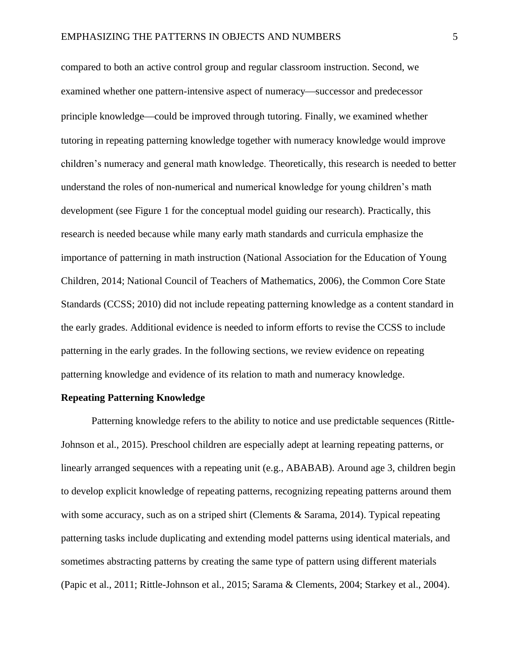compared to both an active control group and regular classroom instruction. Second, we examined whether one pattern-intensive aspect of numeracy—successor and predecessor principle knowledge—could be improved through tutoring. Finally, we examined whether tutoring in repeating patterning knowledge together with numeracy knowledge would improve children's numeracy and general math knowledge. Theoretically, this research is needed to better understand the roles of non-numerical and numerical knowledge for young children's math development (see Figure 1 for the conceptual model guiding our research). Practically, this research is needed because while many early math standards and curricula emphasize the importance of patterning in math instruction (National Association for the Education of Young Children, 2014; National Council of Teachers of Mathematics, 2006), the Common Core State Standards (CCSS; 2010) did not include repeating patterning knowledge as a content standard in the early grades. Additional evidence is needed to inform efforts to revise the CCSS to include patterning in the early grades. In the following sections, we review evidence on repeating patterning knowledge and evidence of its relation to math and numeracy knowledge.

#### **Repeating Patterning Knowledge**

Patterning knowledge refers to the ability to notice and use predictable sequences (Rittle-Johnson et al., 2015). Preschool children are especially adept at learning repeating patterns, or linearly arranged sequences with a repeating unit (e.g., ABABAB). Around age 3, children begin to develop explicit knowledge of repeating patterns, recognizing repeating patterns around them with some accuracy, such as on a striped shirt (Clements & Sarama, 2014). Typical repeating patterning tasks include duplicating and extending model patterns using identical materials, and sometimes abstracting patterns by creating the same type of pattern using different materials (Papic et al., 2011; Rittle-Johnson et al., 2015; Sarama & Clements, 2004; Starkey et al., 2004).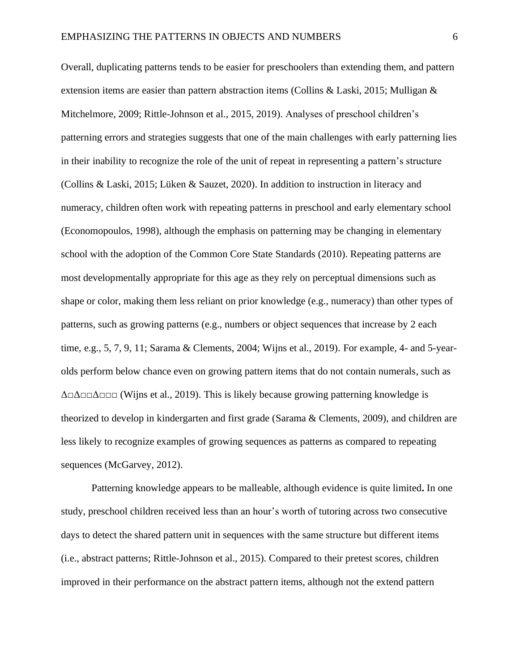Overall, duplicating patterns tends to be easier for preschoolers than extending them, and pattern extension items are easier than pattern abstraction items (Collins & Laski, 2015; Mulligan & Mitchelmore, 2009; Rittle-Johnson et al., 2015, 2019). Analyses of preschool children's patterning errors and strategies suggests that one of the main challenges with early patterning lies in their inability to recognize the role of the unit of repeat in representing a pattern's structure (Collins & Laski, 2015; Lüken & Sauzet, 2020). In addition to instruction in literacy and numeracy, children often work with repeating patterns in preschool and early elementary school (Economopoulos, 1998), although the emphasis on patterning may be changing in elementary school with the adoption of the Common Core State Standards (2010). Repeating patterns are most developmentally appropriate for this age as they rely on perceptual dimensions such as shape or color, making them less reliant on prior knowledge (e.g., numeracy) than other types of patterns, such as growing patterns (e.g., numbers or object sequences that increase by 2 each time, e.g., 5, 7, 9, 11; Sarama & Clements, 2004; Wijns et al., 2019). For example, 4- and 5-yearolds perform below chance even on growing pattern items that do not contain numerals, such as  $\Delta$  $\Delta$  $\Delta$  $\Delta$  $\Delta$  $\Delta$  $\Delta$  $\Delta$  (Wijns et al., 2019). This is likely because growing patterning knowledge is theorized to develop in kindergarten and first grade (Sarama & Clements, 2009), and children are less likely to recognize examples of growing sequences as patterns as compared to repeating sequences (McGarvey, 2012).

Patterning knowledge appears to be malleable, although evidence is quite limited**.** In one study, preschool children received less than an hour's worth of tutoring across two consecutive days to detect the shared pattern unit in sequences with the same structure but different items (i.e., abstract patterns; Rittle-Johnson et al., 2015). Compared to their pretest scores, children improved in their performance on the abstract pattern items, although not the extend pattern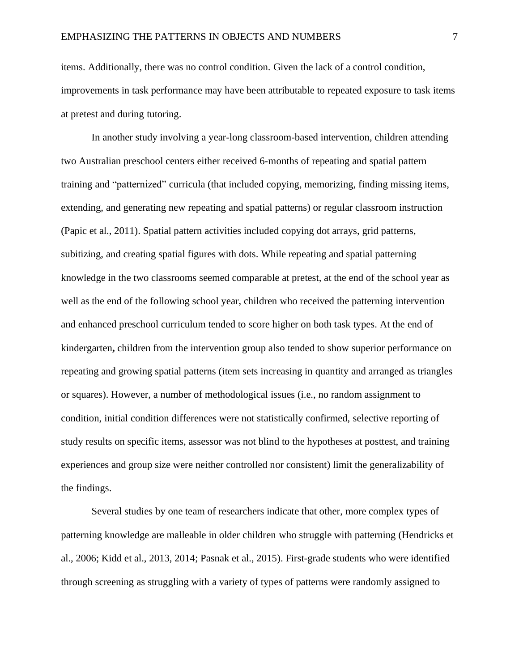items. Additionally, there was no control condition. Given the lack of a control condition, improvements in task performance may have been attributable to repeated exposure to task items at pretest and during tutoring.

In another study involving a year-long classroom-based intervention, children attending two Australian preschool centers either received 6-months of repeating and spatial pattern training and "patternized" curricula (that included copying, memorizing, finding missing items, extending, and generating new repeating and spatial patterns) or regular classroom instruction (Papic et al., 2011). Spatial pattern activities included copying dot arrays, grid patterns, subitizing, and creating spatial figures with dots. While repeating and spatial patterning knowledge in the two classrooms seemed comparable at pretest, at the end of the school year as well as the end of the following school year, children who received the patterning intervention and enhanced preschool curriculum tended to score higher on both task types. At the end of kindergarten**,** children from the intervention group also tended to show superior performance on repeating and growing spatial patterns (item sets increasing in quantity and arranged as triangles or squares). However, a number of methodological issues (i.e., no random assignment to condition, initial condition differences were not statistically confirmed, selective reporting of study results on specific items, assessor was not blind to the hypotheses at posttest, and training experiences and group size were neither controlled nor consistent) limit the generalizability of the findings.

Several studies by one team of researchers indicate that other, more complex types of patterning knowledge are malleable in older children who struggle with patterning (Hendricks et al., 2006; Kidd et al., 2013, 2014; Pasnak et al., 2015). First-grade students who were identified through screening as struggling with a variety of types of patterns were randomly assigned to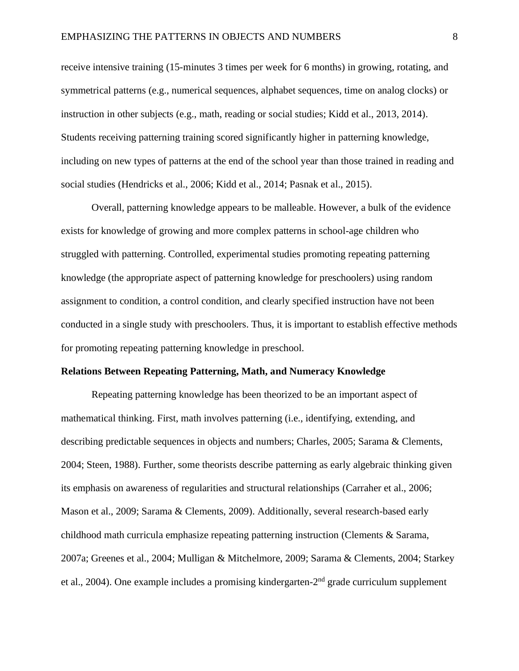receive intensive training (15-minutes 3 times per week for 6 months) in growing, rotating, and symmetrical patterns (e.g., numerical sequences, alphabet sequences, time on analog clocks) or instruction in other subjects (e.g., math, reading or social studies; Kidd et al., 2013, 2014). Students receiving patterning training scored significantly higher in patterning knowledge, including on new types of patterns at the end of the school year than those trained in reading and social studies (Hendricks et al., 2006; Kidd et al., 2014; Pasnak et al., 2015).

Overall, patterning knowledge appears to be malleable. However, a bulk of the evidence exists for knowledge of growing and more complex patterns in school-age children who struggled with patterning. Controlled, experimental studies promoting repeating patterning knowledge (the appropriate aspect of patterning knowledge for preschoolers) using random assignment to condition, a control condition, and clearly specified instruction have not been conducted in a single study with preschoolers. Thus, it is important to establish effective methods for promoting repeating patterning knowledge in preschool.

#### **Relations Between Repeating Patterning, Math, and Numeracy Knowledge**

Repeating patterning knowledge has been theorized to be an important aspect of mathematical thinking. First, math involves patterning (i.e., identifying, extending, and describing predictable sequences in objects and numbers; Charles, 2005; Sarama & Clements, 2004; Steen, 1988). Further, some theorists describe patterning as early algebraic thinking given its emphasis on awareness of regularities and structural relationships (Carraher et al., 2006; Mason et al., 2009; Sarama & Clements, 2009). Additionally, several research-based early childhood math curricula emphasize repeating patterning instruction (Clements & Sarama, 2007a; Greenes et al., 2004; Mulligan & Mitchelmore, 2009; Sarama & Clements, 2004; Starkey et al., 2004). One example includes a promising kindergarten-2<sup>nd</sup> grade curriculum supplement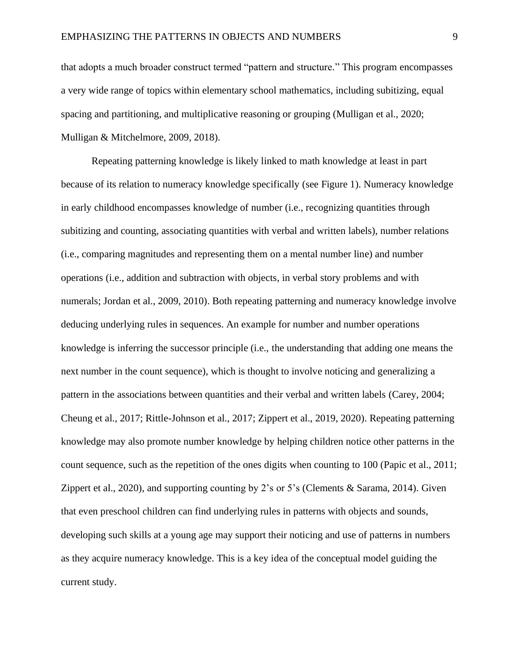that adopts a much broader construct termed "pattern and structure." This program encompasses a very wide range of topics within elementary school mathematics, including subitizing, equal spacing and partitioning, and multiplicative reasoning or grouping (Mulligan et al., 2020; Mulligan & Mitchelmore, 2009, 2018).

Repeating patterning knowledge is likely linked to math knowledge at least in part because of its relation to numeracy knowledge specifically (see Figure 1). Numeracy knowledge in early childhood encompasses knowledge of number (i.e., recognizing quantities through subitizing and counting, associating quantities with verbal and written labels), number relations (i.e., comparing magnitudes and representing them on a mental number line) and number operations (i.e., addition and subtraction with objects, in verbal story problems and with numerals; Jordan et al., 2009, 2010). Both repeating patterning and numeracy knowledge involve deducing underlying rules in sequences. An example for number and number operations knowledge is inferring the successor principle (i.e., the understanding that adding one means the next number in the count sequence), which is thought to involve noticing and generalizing a pattern in the associations between quantities and their verbal and written labels (Carey, 2004; Cheung et al., 2017; Rittle-Johnson et al., 2017; Zippert et al., 2019, 2020). Repeating patterning knowledge may also promote number knowledge by helping children notice other patterns in the count sequence, such as the repetition of the ones digits when counting to 100 (Papic et al., 2011; Zippert et al., 2020), and supporting counting by 2's or 5's (Clements & Sarama, 2014). Given that even preschool children can find underlying rules in patterns with objects and sounds, developing such skills at a young age may support their noticing and use of patterns in numbers as they acquire numeracy knowledge. This is a key idea of the conceptual model guiding the current study.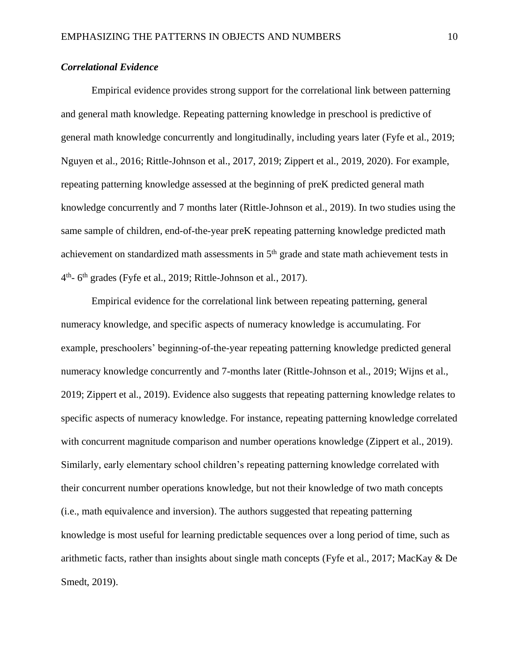## *Correlational Evidence*

Empirical evidence provides strong support for the correlational link between patterning and general math knowledge. Repeating patterning knowledge in preschool is predictive of general math knowledge concurrently and longitudinally, including years later (Fyfe et al., 2019; Nguyen et al., 2016; Rittle-Johnson et al., 2017, 2019; Zippert et al., 2019, 2020). For example, repeating patterning knowledge assessed at the beginning of preK predicted general math knowledge concurrently and 7 months later (Rittle-Johnson et al., 2019). In two studies using the same sample of children, end-of-the-year preK repeating patterning knowledge predicted math achievement on standardized math assessments in  $5<sup>th</sup>$  grade and state math achievement tests in 4<sup>th</sup>- 6<sup>th</sup> grades (Fyfe et al., 2019; Rittle-Johnson et al., 2017).

Empirical evidence for the correlational link between repeating patterning, general numeracy knowledge, and specific aspects of numeracy knowledge is accumulating. For example, preschoolers' beginning-of-the-year repeating patterning knowledge predicted general numeracy knowledge concurrently and 7-months later (Rittle-Johnson et al., 2019; Wijns et al., 2019; Zippert et al., 2019). Evidence also suggests that repeating patterning knowledge relates to specific aspects of numeracy knowledge. For instance, repeating patterning knowledge correlated with concurrent magnitude comparison and number operations knowledge (Zippert et al., 2019). Similarly, early elementary school children's repeating patterning knowledge correlated with their concurrent number operations knowledge, but not their knowledge of two math concepts (i.e., math equivalence and inversion). The authors suggested that repeating patterning knowledge is most useful for learning predictable sequences over a long period of time, such as arithmetic facts, rather than insights about single math concepts (Fyfe et al., 2017; MacKay & De Smedt, 2019).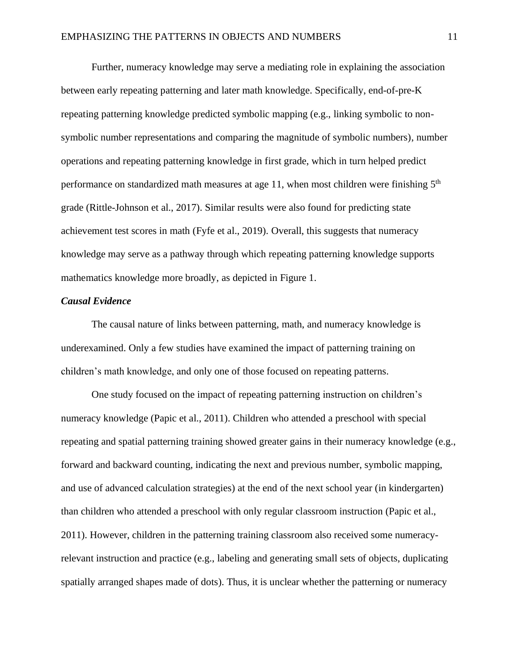Further, numeracy knowledge may serve a mediating role in explaining the association between early repeating patterning and later math knowledge. Specifically, end-of-pre-K repeating patterning knowledge predicted symbolic mapping (e.g., linking symbolic to nonsymbolic number representations and comparing the magnitude of symbolic numbers), number operations and repeating patterning knowledge in first grade, which in turn helped predict performance on standardized math measures at age 11, when most children were finishing 5<sup>th</sup> grade (Rittle-Johnson et al., 2017). Similar results were also found for predicting state achievement test scores in math (Fyfe et al., 2019). Overall, this suggests that numeracy knowledge may serve as a pathway through which repeating patterning knowledge supports mathematics knowledge more broadly, as depicted in Figure 1.

#### *Causal Evidence*

The causal nature of links between patterning, math, and numeracy knowledge is underexamined. Only a few studies have examined the impact of patterning training on children's math knowledge, and only one of those focused on repeating patterns.

One study focused on the impact of repeating patterning instruction on children's numeracy knowledge (Papic et al., 2011). Children who attended a preschool with special repeating and spatial patterning training showed greater gains in their numeracy knowledge (e.g., forward and backward counting, indicating the next and previous number, symbolic mapping, and use of advanced calculation strategies) at the end of the next school year (in kindergarten) than children who attended a preschool with only regular classroom instruction (Papic et al., 2011). However, children in the patterning training classroom also received some numeracyrelevant instruction and practice (e.g., labeling and generating small sets of objects, duplicating spatially arranged shapes made of dots). Thus, it is unclear whether the patterning or numeracy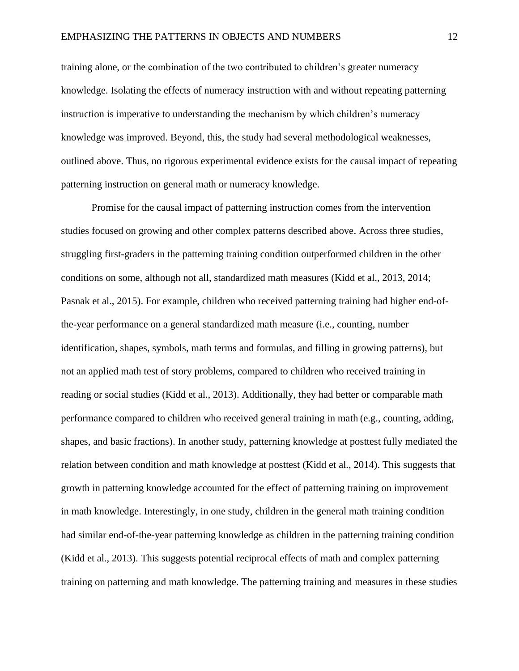training alone, or the combination of the two contributed to children's greater numeracy knowledge. Isolating the effects of numeracy instruction with and without repeating patterning instruction is imperative to understanding the mechanism by which children's numeracy knowledge was improved. Beyond, this, the study had several methodological weaknesses, outlined above. Thus, no rigorous experimental evidence exists for the causal impact of repeating patterning instruction on general math or numeracy knowledge.

Promise for the causal impact of patterning instruction comes from the intervention studies focused on growing and other complex patterns described above. Across three studies, struggling first-graders in the patterning training condition outperformed children in the other conditions on some, although not all, standardized math measures (Kidd et al., 2013, 2014; Pasnak et al., 2015). For example, children who received patterning training had higher end-ofthe-year performance on a general standardized math measure (i.e., counting, number identification, shapes, symbols, math terms and formulas, and filling in growing patterns), but not an applied math test of story problems, compared to children who received training in reading or social studies (Kidd et al., 2013). Additionally, they had better or comparable math performance compared to children who received general training in math (e.g., counting, adding, shapes, and basic fractions). In another study, patterning knowledge at posttest fully mediated the relation between condition and math knowledge at posttest (Kidd et al., 2014). This suggests that growth in patterning knowledge accounted for the effect of patterning training on improvement in math knowledge. Interestingly, in one study, children in the general math training condition had similar end-of-the-year patterning knowledge as children in the patterning training condition (Kidd et al., 2013). This suggests potential reciprocal effects of math and complex patterning training on patterning and math knowledge. The patterning training and measures in these studies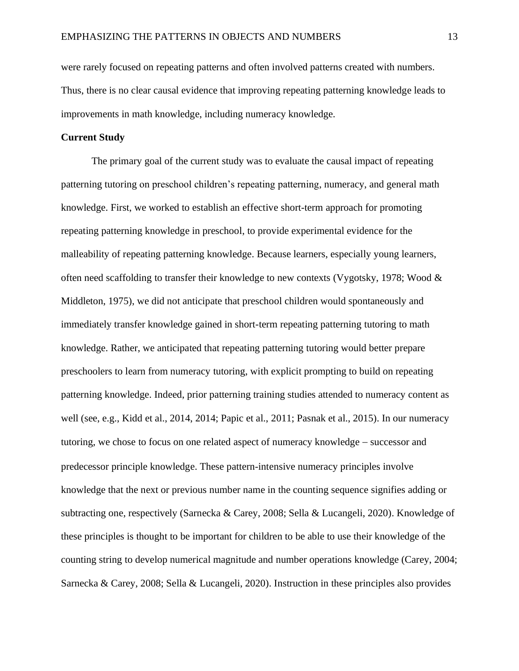were rarely focused on repeating patterns and often involved patterns created with numbers. Thus, there is no clear causal evidence that improving repeating patterning knowledge leads to improvements in math knowledge, including numeracy knowledge.

### **Current Study**

The primary goal of the current study was to evaluate the causal impact of repeating patterning tutoring on preschool children's repeating patterning, numeracy, and general math knowledge. First, we worked to establish an effective short-term approach for promoting repeating patterning knowledge in preschool, to provide experimental evidence for the malleability of repeating patterning knowledge. Because learners, especially young learners, often need scaffolding to transfer their knowledge to new contexts (Vygotsky, 1978; Wood & Middleton, 1975), we did not anticipate that preschool children would spontaneously and immediately transfer knowledge gained in short-term repeating patterning tutoring to math knowledge. Rather, we anticipated that repeating patterning tutoring would better prepare preschoolers to learn from numeracy tutoring, with explicit prompting to build on repeating patterning knowledge. Indeed, prior patterning training studies attended to numeracy content as well (see, e.g., Kidd et al., 2014, 2014; Papic et al., 2011; Pasnak et al., 2015). In our numeracy tutoring, we chose to focus on one related aspect of numeracy knowledge − successor and predecessor principle knowledge. These pattern-intensive numeracy principles involve knowledge that the next or previous number name in the counting sequence signifies adding or subtracting one, respectively (Sarnecka & Carey, 2008; Sella & Lucangeli, 2020). Knowledge of these principles is thought to be important for children to be able to use their knowledge of the counting string to develop numerical magnitude and number operations knowledge (Carey, 2004; Sarnecka & Carey, 2008; Sella & Lucangeli, 2020). Instruction in these principles also provides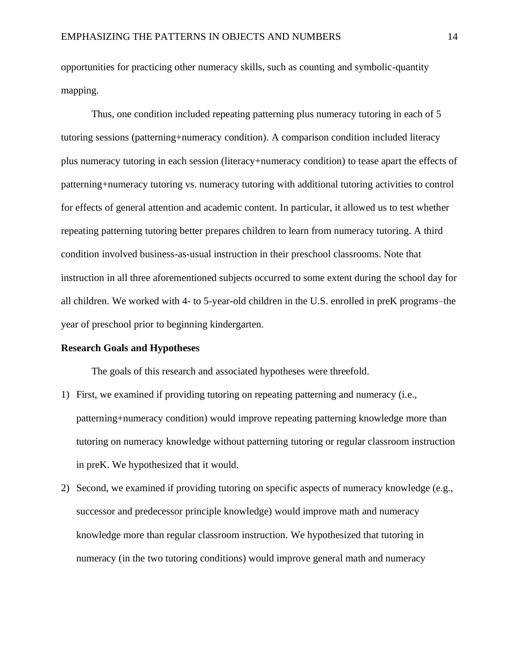opportunities for practicing other numeracy skills, such as counting and symbolic-quantity mapping.

Thus, one condition included repeating patterning plus numeracy tutoring in each of 5 tutoring sessions (patterning+numeracy condition). A comparison condition included literacy plus numeracy tutoring in each session (literacy+numeracy condition) to tease apart the effects of patterning+numeracy tutoring vs. numeracy tutoring with additional tutoring activities to control for effects of general attention and academic content. In particular, it allowed us to test whether repeating patterning tutoring better prepares children to learn from numeracy tutoring. A third condition involved business-as-usual instruction in their preschool classrooms. Note that instruction in all three aforementioned subjects occurred to some extent during the school day for all children. We worked with 4- to 5-year-old children in the U.S. enrolled in preK programs–the year of preschool prior to beginning kindergarten.

#### **Research Goals and Hypotheses**

The goals of this research and associated hypotheses were threefold.

- 1) First, we examined if providing tutoring on repeating patterning and numeracy (i.e., patterning+numeracy condition) would improve repeating patterning knowledge more than tutoring on numeracy knowledge without patterning tutoring or regular classroom instruction in preK. We hypothesized that it would.
- 2) Second, we examined if providing tutoring on specific aspects of numeracy knowledge (e.g., successor and predecessor principle knowledge) would improve math and numeracy knowledge more than regular classroom instruction. We hypothesized that tutoring in numeracy (in the two tutoring conditions) would improve general math and numeracy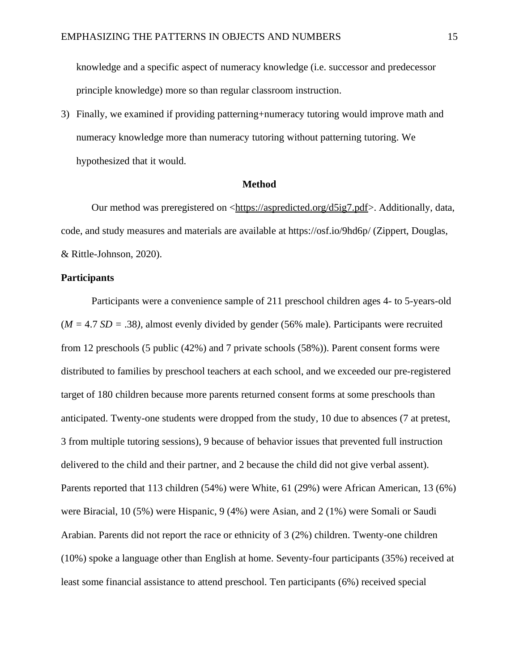knowledge and a specific aspect of numeracy knowledge (i.e. successor and predecessor principle knowledge) more so than regular classroom instruction.

3) Finally, we examined if providing patterning+numeracy tutoring would improve math and numeracy knowledge more than numeracy tutoring without patterning tutoring. We hypothesized that it would.

#### **Method**

Our method was preregistered on <https://aspredicted.org/d5ig7.pdf>. Additionally, data, code, and study measures and materials are available at https://osf.io/9hd6p/ (Zippert, Douglas, & Rittle-Johnson, 2020).

### **Participants**

Participants were a convenience sample of 211 preschool children ages 4- to 5-years-old (*M =* 4.7 *SD =* .38*)*, almost evenly divided by gender (56% male). Participants were recruited from 12 preschools (5 public (42%) and 7 private schools (58%)). Parent consent forms were distributed to families by preschool teachers at each school, and we exceeded our pre-registered target of 180 children because more parents returned consent forms at some preschools than anticipated. Twenty-one students were dropped from the study, 10 due to absences (7 at pretest, 3 from multiple tutoring sessions), 9 because of behavior issues that prevented full instruction delivered to the child and their partner, and 2 because the child did not give verbal assent). Parents reported that 113 children (54%) were White, 61 (29%) were African American, 13 (6%) were Biracial, 10 (5%) were Hispanic, 9 (4%) were Asian, and 2 (1%) were Somali or Saudi Arabian. Parents did not report the race or ethnicity of 3 (2%) children. Twenty-one children (10%) spoke a language other than English at home. Seventy-four participants (35%) received at least some financial assistance to attend preschool. Ten participants (6%) received special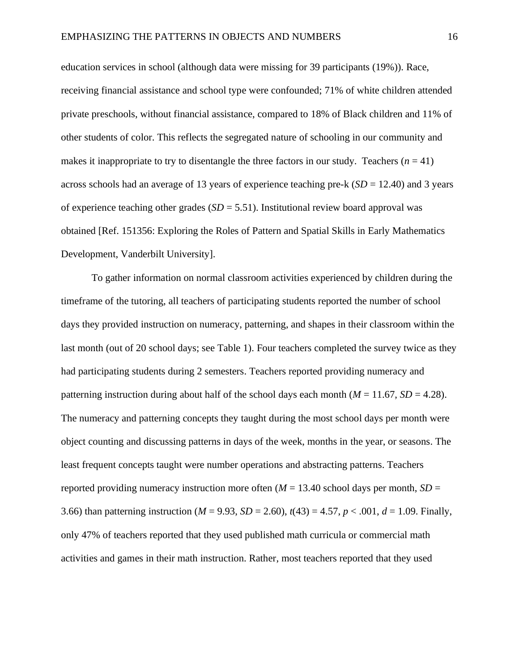education services in school (although data were missing for 39 participants (19%)). Race, receiving financial assistance and school type were confounded; 71% of white children attended private preschools, without financial assistance, compared to 18% of Black children and 11% of other students of color. This reflects the segregated nature of schooling in our community and makes it inappropriate to try to disentangle the three factors in our study. Teachers  $(n = 41)$ across schools had an average of 13 years of experience teaching pre-k (*SD* = 12.40) and 3 years of experience teaching other grades (*SD* = 5.51). Institutional review board approval was obtained [Ref. 151356: Exploring the Roles of Pattern and Spatial Skills in Early Mathematics Development, Vanderbilt University].

To gather information on normal classroom activities experienced by children during the timeframe of the tutoring, all teachers of participating students reported the number of school days they provided instruction on numeracy, patterning, and shapes in their classroom within the last month (out of 20 school days; see Table 1). Four teachers completed the survey twice as they had participating students during 2 semesters. Teachers reported providing numeracy and patterning instruction during about half of the school days each month  $(M = 11.67, SD = 4.28)$ . The numeracy and patterning concepts they taught during the most school days per month were object counting and discussing patterns in days of the week, months in the year, or seasons. The least frequent concepts taught were number operations and abstracting patterns. Teachers reported providing numeracy instruction more often ( $M = 13.40$  school days per month,  $SD =$ 3.66) than patterning instruction ( $M = 9.93$ ,  $SD = 2.60$ ),  $t(43) = 4.57$ ,  $p < .001$ ,  $d = 1.09$ . Finally, only 47% of teachers reported that they used published math curricula or commercial math activities and games in their math instruction. Rather, most teachers reported that they used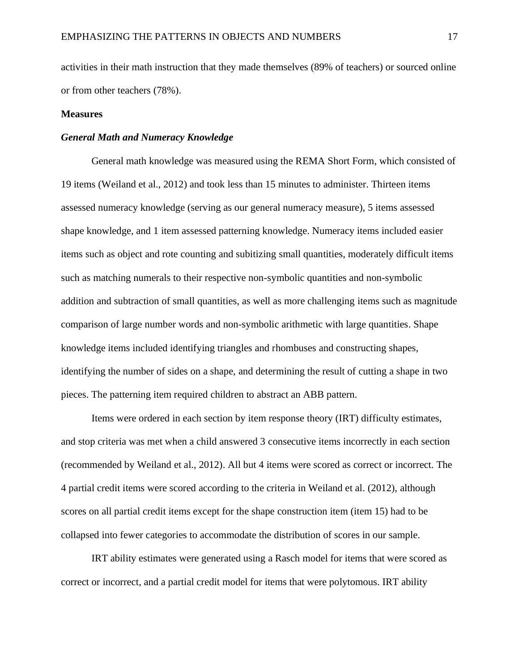activities in their math instruction that they made themselves (89% of teachers) or sourced online or from other teachers (78%).

#### **Measures**

#### *General Math and Numeracy Knowledge*

General math knowledge was measured using the REMA Short Form, which consisted of 19 items (Weiland et al., 2012) and took less than 15 minutes to administer. Thirteen items assessed numeracy knowledge (serving as our general numeracy measure), 5 items assessed shape knowledge, and 1 item assessed patterning knowledge. Numeracy items included easier items such as object and rote counting and subitizing small quantities, moderately difficult items such as matching numerals to their respective non-symbolic quantities and non-symbolic addition and subtraction of small quantities, as well as more challenging items such as magnitude comparison of large number words and non-symbolic arithmetic with large quantities. Shape knowledge items included identifying triangles and rhombuses and constructing shapes, identifying the number of sides on a shape, and determining the result of cutting a shape in two pieces. The patterning item required children to abstract an ABB pattern.

Items were ordered in each section by item response theory (IRT) difficulty estimates, and stop criteria was met when a child answered 3 consecutive items incorrectly in each section (recommended by Weiland et al., 2012). All but 4 items were scored as correct or incorrect. The 4 partial credit items were scored according to the criteria in Weiland et al. (2012), although scores on all partial credit items except for the shape construction item (item 15) had to be collapsed into fewer categories to accommodate the distribution of scores in our sample.

IRT ability estimates were generated using a Rasch model for items that were scored as correct or incorrect, and a partial credit model for items that were polytomous. IRT ability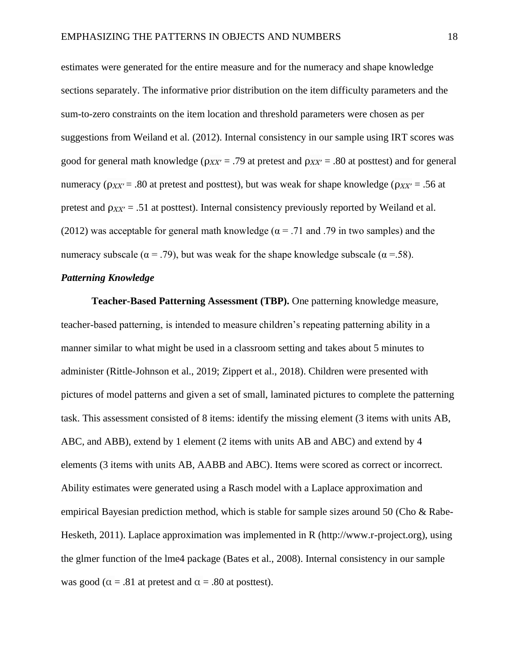estimates were generated for the entire measure and for the numeracy and shape knowledge sections separately. The informative prior distribution on the item difficulty parameters and the sum-to-zero constraints on the item location and threshold parameters were chosen as per suggestions from Weiland et al. (2012). Internal consistency in our sample using IRT scores was good for general math knowledge ( $\rho_{XX'}$  = .79 at pretest and  $\rho_{XX'}$  = .80 at posttest) and for general numeracy ( $\rho_{XX'}$  = .80 at pretest and posttest), but was weak for shape knowledge ( $\rho_{XX'}$  = .56 at pretest and  $\rho_{XX'} = .51$  at posttest). Internal consistency previously reported by Weiland et al. (2012) was acceptable for general math knowledge ( $\alpha = .71$  and .79 in two samples) and the numeracy subscale ( $\alpha = .79$ ), but was weak for the shape knowledge subscale ( $\alpha = .58$ ).

### *Patterning Knowledge*

**Teacher-Based Patterning Assessment (TBP).** One patterning knowledge measure, teacher-based patterning, is intended to measure children's repeating patterning ability in a manner similar to what might be used in a classroom setting and takes about 5 minutes to administer (Rittle-Johnson et al., 2019; Zippert et al., 2018). Children were presented with pictures of model patterns and given a set of small, laminated pictures to complete the patterning task. This assessment consisted of 8 items: identify the missing element (3 items with units AB, ABC, and ABB), extend by 1 element (2 items with units AB and ABC) and extend by 4 elements (3 items with units AB, AABB and ABC). Items were scored as correct or incorrect. Ability estimates were generated using a Rasch model with a Laplace approximation and empirical Bayesian prediction method, which is stable for sample sizes around 50 (Cho & Rabe-Hesketh, 2011). Laplace approximation was implemented in R (http://www.r-project.org), using the glmer function of the lme4 package (Bates et al., 2008). Internal consistency in our sample was good ( $\alpha = .81$  at pretest and  $\alpha = .80$  at posttest).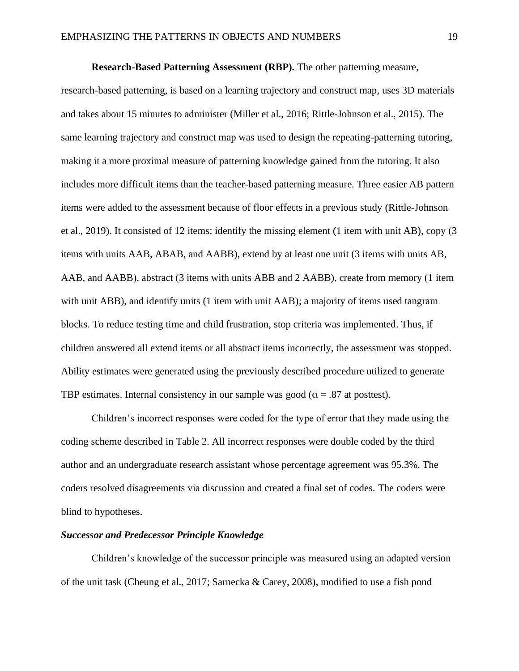**Research-Based Patterning Assessment (RBP).** The other patterning measure, research-based patterning, is based on a learning trajectory and construct map, uses 3D materials and takes about 15 minutes to administer (Miller et al., 2016; Rittle-Johnson et al., 2015). The same learning trajectory and construct map was used to design the repeating-patterning tutoring, making it a more proximal measure of patterning knowledge gained from the tutoring. It also includes more difficult items than the teacher-based patterning measure. Three easier AB pattern items were added to the assessment because of floor effects in a previous study (Rittle-Johnson et al., 2019). It consisted of 12 items: identify the missing element (1 item with unit AB), copy (3 items with units AAB, ABAB, and AABB), extend by at least one unit (3 items with units AB, AAB, and AABB), abstract (3 items with units ABB and 2 AABB), create from memory (1 item with unit ABB), and identify units (1 item with unit AAB); a majority of items used tangram blocks. To reduce testing time and child frustration, stop criteria was implemented. Thus, if children answered all extend items or all abstract items incorrectly, the assessment was stopped. Ability estimates were generated using the previously described procedure utilized to generate TBP estimates. Internal consistency in our sample was good ( $\alpha = .87$  at posttest).

Children's incorrect responses were coded for the type of error that they made using the coding scheme described in Table 2. All incorrect responses were double coded by the third author and an undergraduate research assistant whose percentage agreement was 95.3%. The coders resolved disagreements via discussion and created a final set of codes. The coders were blind to hypotheses.

#### *Successor and Predecessor Principle Knowledge*

Children's knowledge of the successor principle was measured using an adapted version of the unit task (Cheung et al., 2017; Sarnecka & Carey, 2008), modified to use a fish pond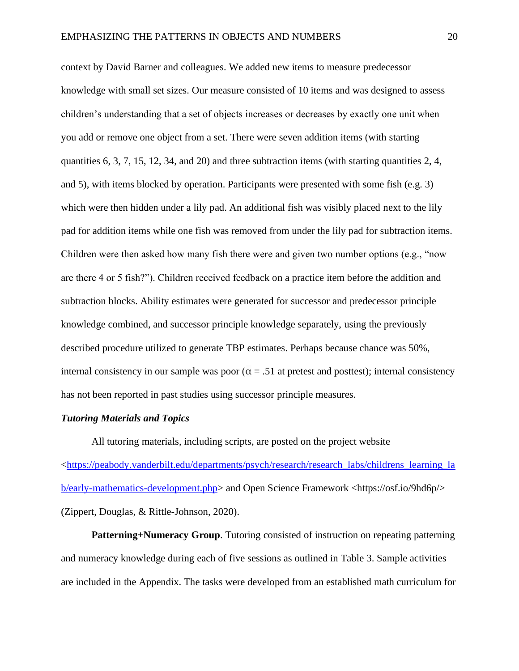context by David Barner and colleagues. We added new items to measure predecessor knowledge with small set sizes. Our measure consisted of 10 items and was designed to assess children's understanding that a set of objects increases or decreases by exactly one unit when you add or remove one object from a set. There were seven addition items (with starting quantities 6, 3, 7, 15, 12, 34, and 20) and three subtraction items (with starting quantities 2, 4, and 5), with items blocked by operation. Participants were presented with some fish (e.g. 3) which were then hidden under a lily pad. An additional fish was visibly placed next to the lily pad for addition items while one fish was removed from under the lily pad for subtraction items. Children were then asked how many fish there were and given two number options (e.g., "now are there 4 or 5 fish?"). Children received feedback on a practice item before the addition and subtraction blocks. Ability estimates were generated for successor and predecessor principle knowledge combined, and successor principle knowledge separately, using the previously described procedure utilized to generate TBP estimates. Perhaps because chance was 50%, internal consistency in our sample was poor ( $\alpha$  = .51 at pretest and posttest); internal consistency has not been reported in past studies using successor principle measures.

#### *Tutoring Materials and Topics*

All tutoring materials, including scripts, are posted on the project website [<https://peabody.vanderbilt.edu/departments/psych/research/research\\_labs/childrens\\_learning\\_la](https://peabody.vanderbilt.edu/departments/psych/research/research_labs/childrens_learning_lab/early-mathematics-development.php) [b/early-mathematics-development.php>](https://peabody.vanderbilt.edu/departments/psych/research/research_labs/childrens_learning_lab/early-mathematics-development.php) and Open Science Framework <https://osf.io/9hd6p/> (Zippert, Douglas, & Rittle-Johnson, 2020).

**Patterning+Numeracy Group**. Tutoring consisted of instruction on repeating patterning and numeracy knowledge during each of five sessions as outlined in Table 3. Sample activities are included in the Appendix. The tasks were developed from an established math curriculum for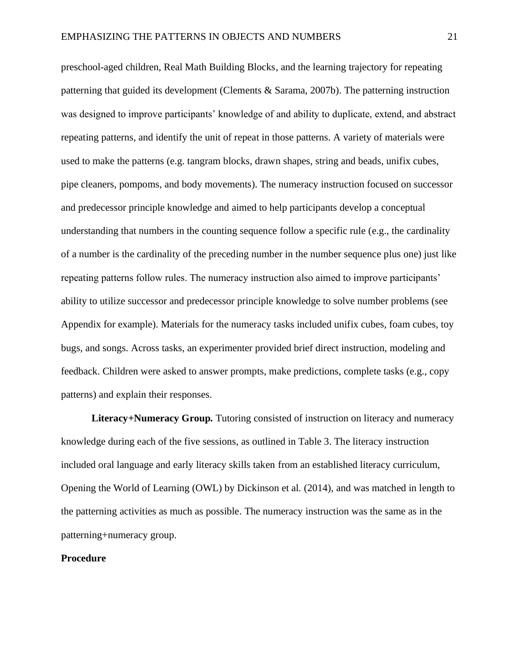preschool-aged children, Real Math Building Blocks, and the learning trajectory for repeating patterning that guided its development (Clements & Sarama, 2007b). The patterning instruction was designed to improve participants' knowledge of and ability to duplicate, extend, and abstract repeating patterns, and identify the unit of repeat in those patterns. A variety of materials were used to make the patterns (e.g. tangram blocks, drawn shapes, string and beads, unifix cubes, pipe cleaners, pompoms, and body movements). The numeracy instruction focused on successor and predecessor principle knowledge and aimed to help participants develop a conceptual understanding that numbers in the counting sequence follow a specific rule (e.g., the cardinality of a number is the cardinality of the preceding number in the number sequence plus one) just like repeating patterns follow rules. The numeracy instruction also aimed to improve participants' ability to utilize successor and predecessor principle knowledge to solve number problems (see Appendix for example). Materials for the numeracy tasks included unifix cubes, foam cubes, toy bugs, and songs. Across tasks, an experimenter provided brief direct instruction, modeling and feedback. Children were asked to answer prompts, make predictions, complete tasks (e.g., copy patterns) and explain their responses.

**Literacy+Numeracy Group***.* Tutoring consisted of instruction on literacy and numeracy knowledge during each of the five sessions, as outlined in Table 3. The literacy instruction included oral language and early literacy skills taken from an established literacy curriculum, Opening the World of Learning (OWL) by Dickinson et al. (2014), and was matched in length to the patterning activities as much as possible. The numeracy instruction was the same as in the patterning+numeracy group.

### **Procedure**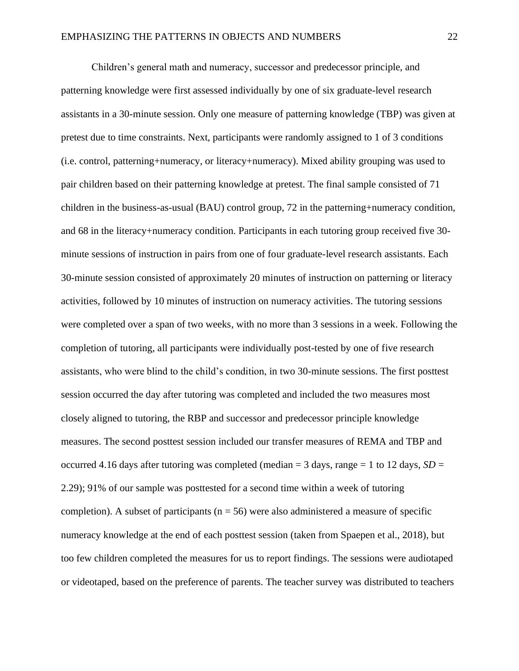Children's general math and numeracy, successor and predecessor principle, and patterning knowledge were first assessed individually by one of six graduate-level research assistants in a 30-minute session. Only one measure of patterning knowledge (TBP) was given at pretest due to time constraints. Next, participants were randomly assigned to 1 of 3 conditions (i.e. control, patterning+numeracy, or literacy+numeracy). Mixed ability grouping was used to pair children based on their patterning knowledge at pretest. The final sample consisted of 71 children in the business-as-usual (BAU) control group, 72 in the patterning+numeracy condition, and 68 in the literacy+numeracy condition. Participants in each tutoring group received five 30 minute sessions of instruction in pairs from one of four graduate-level research assistants. Each 30-minute session consisted of approximately 20 minutes of instruction on patterning or literacy activities, followed by 10 minutes of instruction on numeracy activities. The tutoring sessions were completed over a span of two weeks, with no more than 3 sessions in a week. Following the completion of tutoring, all participants were individually post-tested by one of five research assistants, who were blind to the child's condition, in two 30-minute sessions. The first posttest session occurred the day after tutoring was completed and included the two measures most closely aligned to tutoring, the RBP and successor and predecessor principle knowledge measures. The second posttest session included our transfer measures of REMA and TBP and occurred 4.16 days after tutoring was completed (median  $=$  3 days, range  $=$  1 to 12 days, *SD*  $=$ 2.29); 91% of our sample was posttested for a second time within a week of tutoring completion). A subset of participants ( $n = 56$ ) were also administered a measure of specific numeracy knowledge at the end of each posttest session (taken from Spaepen et al., 2018), but too few children completed the measures for us to report findings. The sessions were audiotaped or videotaped, based on the preference of parents. The teacher survey was distributed to teachers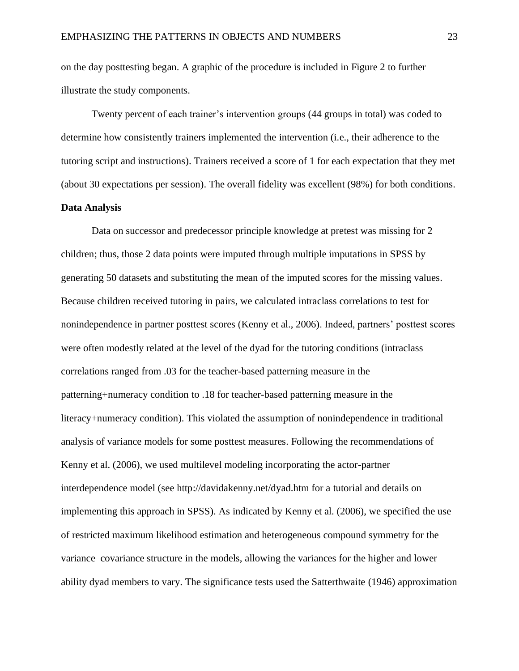on the day posttesting began. A graphic of the procedure is included in Figure 2 to further illustrate the study components.

Twenty percent of each trainer's intervention groups (44 groups in total) was coded to determine how consistently trainers implemented the intervention (i.e., their adherence to the tutoring script and instructions). Trainers received a score of 1 for each expectation that they met (about 30 expectations per session). The overall fidelity was excellent (98%) for both conditions. **Data Analysis**

Data on successor and predecessor principle knowledge at pretest was missing for 2 children; thus, those 2 data points were imputed through multiple imputations in SPSS by generating 50 datasets and substituting the mean of the imputed scores for the missing values. Because children received tutoring in pairs, we calculated intraclass correlations to test for nonindependence in partner posttest scores (Kenny et al., 2006). Indeed, partners' posttest scores were often modestly related at the level of the dyad for the tutoring conditions (intraclass correlations ranged from .03 for the teacher-based patterning measure in the patterning+numeracy condition to .18 for teacher-based patterning measure in the literacy+numeracy condition). This violated the assumption of nonindependence in traditional analysis of variance models for some posttest measures. Following the recommendations of Kenny et al. (2006), we used multilevel modeling incorporating the actor-partner interdependence model (see http://davidakenny.net/dyad.htm for a tutorial and details on implementing this approach in SPSS). As indicated by Kenny et al. (2006), we specified the use of restricted maximum likelihood estimation and heterogeneous compound symmetry for the variance–covariance structure in the models, allowing the variances for the higher and lower ability dyad members to vary. The significance tests used the Satterthwaite (1946) approximation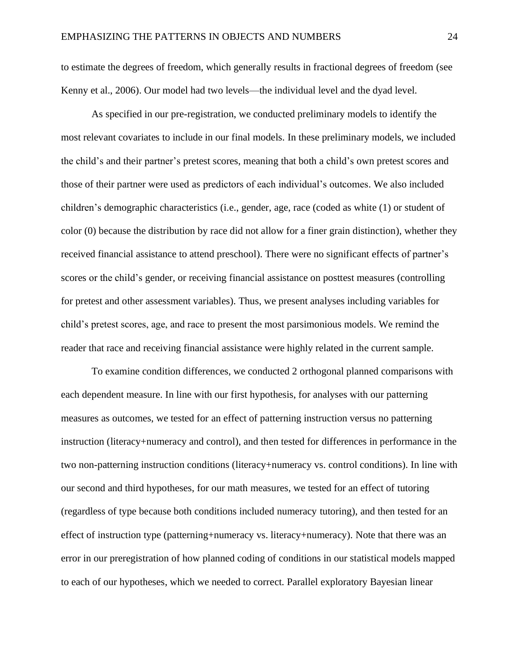to estimate the degrees of freedom, which generally results in fractional degrees of freedom (see Kenny et al., 2006). Our model had two levels—the individual level and the dyad level.

As specified in our pre-registration, we conducted preliminary models to identify the most relevant covariates to include in our final models. In these preliminary models, we included the child's and their partner's pretest scores, meaning that both a child's own pretest scores and those of their partner were used as predictors of each individual's outcomes. We also included children's demographic characteristics (i.e., gender, age, race (coded as white (1) or student of color (0) because the distribution by race did not allow for a finer grain distinction), whether they received financial assistance to attend preschool). There were no significant effects of partner's scores or the child's gender, or receiving financial assistance on posttest measures (controlling for pretest and other assessment variables). Thus, we present analyses including variables for child's pretest scores, age, and race to present the most parsimonious models. We remind the reader that race and receiving financial assistance were highly related in the current sample.

To examine condition differences, we conducted 2 orthogonal planned comparisons with each dependent measure. In line with our first hypothesis, for analyses with our patterning measures as outcomes, we tested for an effect of patterning instruction versus no patterning instruction (literacy+numeracy and control), and then tested for differences in performance in the two non-patterning instruction conditions (literacy+numeracy vs. control conditions). In line with our second and third hypotheses, for our math measures, we tested for an effect of tutoring (regardless of type because both conditions included numeracy tutoring), and then tested for an effect of instruction type (patterning+numeracy vs. literacy+numeracy). Note that there was an error in our preregistration of how planned coding of conditions in our statistical models mapped to each of our hypotheses, which we needed to correct. Parallel exploratory Bayesian linear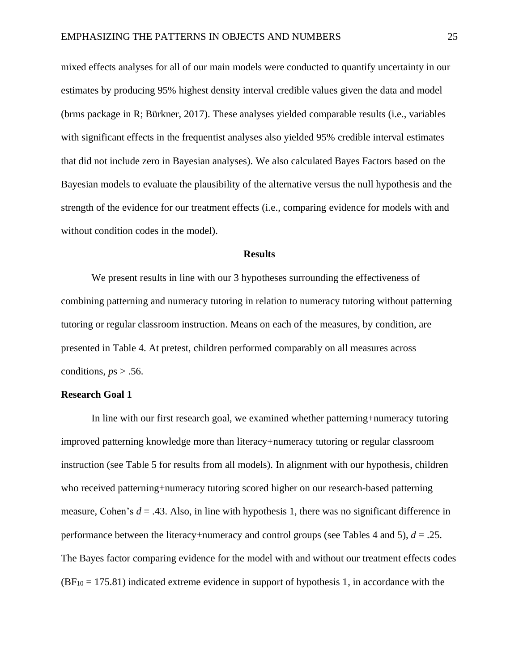mixed effects analyses for all of our main models were conducted to quantify uncertainty in our estimates by producing 95% highest density interval credible values given the data and model (brms package in R; Bürkner, 2017). These analyses yielded comparable results (i.e., variables with significant effects in the frequentist analyses also yielded 95% credible interval estimates that did not include zero in Bayesian analyses). We also calculated Bayes Factors based on the Bayesian models to evaluate the plausibility of the alternative versus the null hypothesis and the strength of the evidence for our treatment effects (i.e., comparing evidence for models with and without condition codes in the model).

#### **Results**

We present results in line with our 3 hypotheses surrounding the effectiveness of combining patterning and numeracy tutoring in relation to numeracy tutoring without patterning tutoring or regular classroom instruction. Means on each of the measures, by condition, are presented in Table 4. At pretest, children performed comparably on all measures across conditions,  $ps > .56$ .

#### **Research Goal 1**

In line with our first research goal, we examined whether patterning+numeracy tutoring improved patterning knowledge more than literacy+numeracy tutoring or regular classroom instruction (see Table 5 for results from all models). In alignment with our hypothesis, children who received patterning+numeracy tutoring scored higher on our research-based patterning measure, Cohen's  $d = .43$ . Also, in line with hypothesis 1, there was no significant difference in performance between the literacy+numeracy and control groups (see Tables 4 and 5),  $d = .25$ . The Bayes factor comparing evidence for the model with and without our treatment effects codes  $(BF<sub>10</sub> = 175.81)$  indicated extreme evidence in support of hypothesis 1, in accordance with the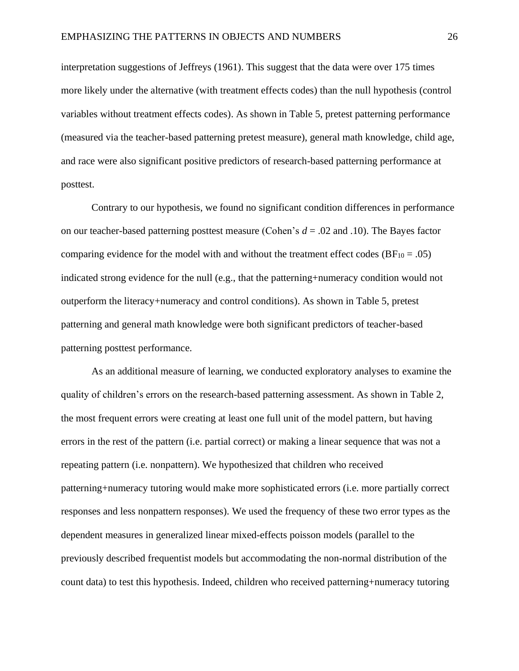interpretation suggestions of Jeffreys (1961). This suggest that the data were over 175 times more likely under the alternative (with treatment effects codes) than the null hypothesis (control variables without treatment effects codes). As shown in Table 5, pretest patterning performance (measured via the teacher-based patterning pretest measure), general math knowledge, child age, and race were also significant positive predictors of research-based patterning performance at posttest.

Contrary to our hypothesis, we found no significant condition differences in performance on our teacher-based patterning posttest measure (Cohen's *d* = .02 and .10). The Bayes factor comparing evidence for the model with and without the treatment effect codes ( $BF_{10} = .05$ ) indicated strong evidence for the null (e.g., that the patterning+numeracy condition would not outperform the literacy+numeracy and control conditions). As shown in Table 5, pretest patterning and general math knowledge were both significant predictors of teacher-based patterning posttest performance.

As an additional measure of learning, we conducted exploratory analyses to examine the quality of children's errors on the research-based patterning assessment. As shown in Table 2, the most frequent errors were creating at least one full unit of the model pattern, but having errors in the rest of the pattern (i.e. partial correct) or making a linear sequence that was not a repeating pattern (i.e. nonpattern). We hypothesized that children who received patterning+numeracy tutoring would make more sophisticated errors (i.e. more partially correct responses and less nonpattern responses). We used the frequency of these two error types as the dependent measures in generalized linear mixed-effects poisson models (parallel to the previously described frequentist models but accommodating the non-normal distribution of the count data) to test this hypothesis. Indeed, children who received patterning+numeracy tutoring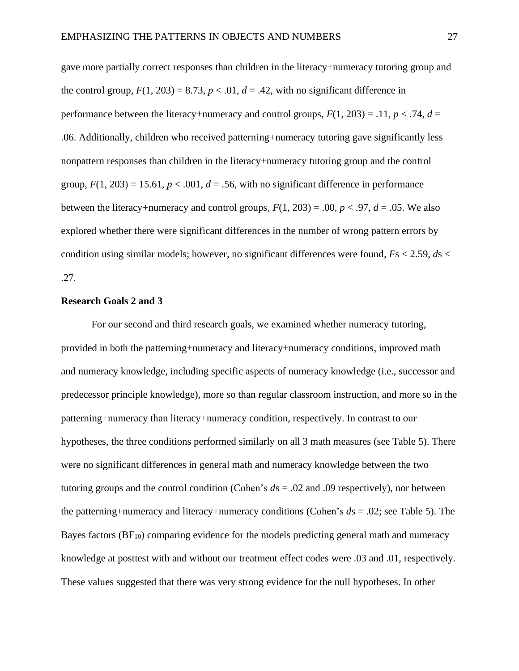gave more partially correct responses than children in the literacy+numeracy tutoring group and the control group,  $F(1, 203) = 8.73$ ,  $p < .01$ ,  $d = .42$ , with no significant difference in performance between the literacy+numeracy and control groups,  $F(1, 203) = .11$ ,  $p < .74$ ,  $d =$ .06. Additionally, children who received patterning+numeracy tutoring gave significantly less nonpattern responses than children in the literacy+numeracy tutoring group and the control group,  $F(1, 203) = 15.61$ ,  $p < .001$ ,  $d = .56$ , with no significant difference in performance between the literacy+numeracy and control groups,  $F(1, 203) = .00$ ,  $p < .97$ ,  $d = .05$ . We also explored whether there were significant differences in the number of wrong pattern errors by condition using similar models; however, no significant differences were found, *F*s < 2.59, *d*s < .27.

#### **Research Goals 2 and 3**

For our second and third research goals, we examined whether numeracy tutoring, provided in both the patterning+numeracy and literacy+numeracy conditions, improved math and numeracy knowledge, including specific aspects of numeracy knowledge (i.e., successor and predecessor principle knowledge), more so than regular classroom instruction, and more so in the patterning+numeracy than literacy+numeracy condition, respectively. In contrast to our hypotheses, the three conditions performed similarly on all 3 math measures (see Table 5). There were no significant differences in general math and numeracy knowledge between the two tutoring groups and the control condition (Cohen's *d*s = .02 and .09 respectively), nor between the patterning+numeracy and literacy+numeracy conditions (Cohen's *d*s = .02; see Table 5). The Bayes factors (BF10) comparing evidence for the models predicting general math and numeracy knowledge at posttest with and without our treatment effect codes were .03 and .01, respectively. These values suggested that there was very strong evidence for the null hypotheses. In other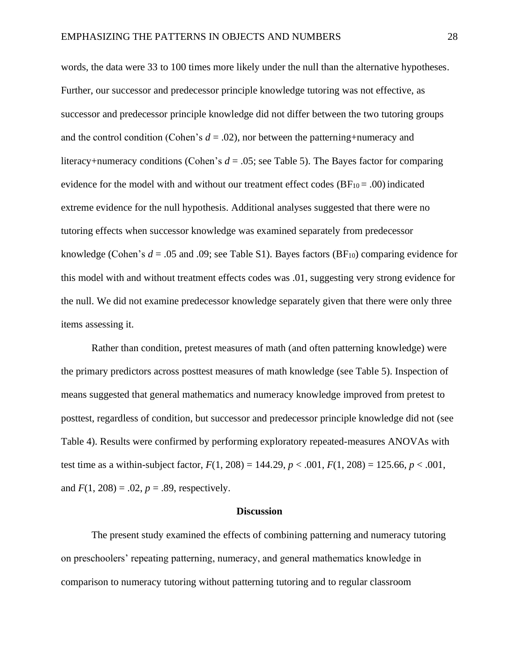words, the data were 33 to 100 times more likely under the null than the alternative hypotheses. Further, our successor and predecessor principle knowledge tutoring was not effective, as successor and predecessor principle knowledge did not differ between the two tutoring groups and the control condition (Cohen's  $d = .02$ ), nor between the patterning+numeracy and literacy+numeracy conditions (Cohen's *d* = .05; see Table 5). The Bayes factor for comparing evidence for the model with and without our treatment effect codes  $(BF_{10} = .00)$  indicated extreme evidence for the null hypothesis. Additional analyses suggested that there were no tutoring effects when successor knowledge was examined separately from predecessor knowledge (Cohen's  $d = .05$  and  $.09$ ; see Table S1). Bayes factors (BF<sub>10</sub>) comparing evidence for this model with and without treatment effects codes was .01, suggesting very strong evidence for the null. We did not examine predecessor knowledge separately given that there were only three items assessing it.

Rather than condition, pretest measures of math (and often patterning knowledge) were the primary predictors across posttest measures of math knowledge (see Table 5). Inspection of means suggested that general mathematics and numeracy knowledge improved from pretest to posttest, regardless of condition, but successor and predecessor principle knowledge did not (see Table 4). Results were confirmed by performing exploratory repeated-measures ANOVAs with test time as a within-subject factor,  $F(1, 208) = 144.29$ ,  $p < .001$ ,  $F(1, 208) = 125.66$ ,  $p < .001$ , and  $F(1, 208) = .02$ ,  $p = .89$ , respectively.

#### **Discussion**

The present study examined the effects of combining patterning and numeracy tutoring on preschoolers' repeating patterning, numeracy, and general mathematics knowledge in comparison to numeracy tutoring without patterning tutoring and to regular classroom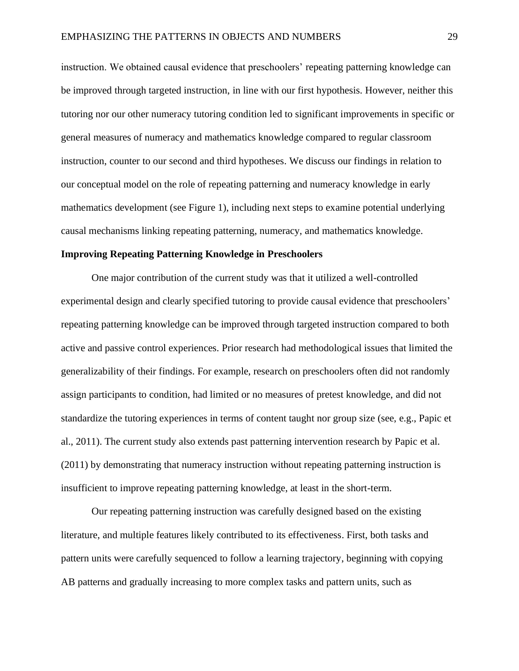instruction. We obtained causal evidence that preschoolers' repeating patterning knowledge can be improved through targeted instruction, in line with our first hypothesis. However, neither this tutoring nor our other numeracy tutoring condition led to significant improvements in specific or general measures of numeracy and mathematics knowledge compared to regular classroom instruction, counter to our second and third hypotheses. We discuss our findings in relation to our conceptual model on the role of repeating patterning and numeracy knowledge in early mathematics development (see Figure 1), including next steps to examine potential underlying causal mechanisms linking repeating patterning, numeracy, and mathematics knowledge.

#### **Improving Repeating Patterning Knowledge in Preschoolers**

One major contribution of the current study was that it utilized a well-controlled experimental design and clearly specified tutoring to provide causal evidence that preschoolers' repeating patterning knowledge can be improved through targeted instruction compared to both active and passive control experiences. Prior research had methodological issues that limited the generalizability of their findings. For example, research on preschoolers often did not randomly assign participants to condition, had limited or no measures of pretest knowledge, and did not standardize the tutoring experiences in terms of content taught nor group size (see, e.g., Papic et al., 2011). The current study also extends past patterning intervention research by Papic et al. (2011) by demonstrating that numeracy instruction without repeating patterning instruction is insufficient to improve repeating patterning knowledge, at least in the short-term.

Our repeating patterning instruction was carefully designed based on the existing literature, and multiple features likely contributed to its effectiveness. First, both tasks and pattern units were carefully sequenced to follow a learning trajectory, beginning with copying AB patterns and gradually increasing to more complex tasks and pattern units, such as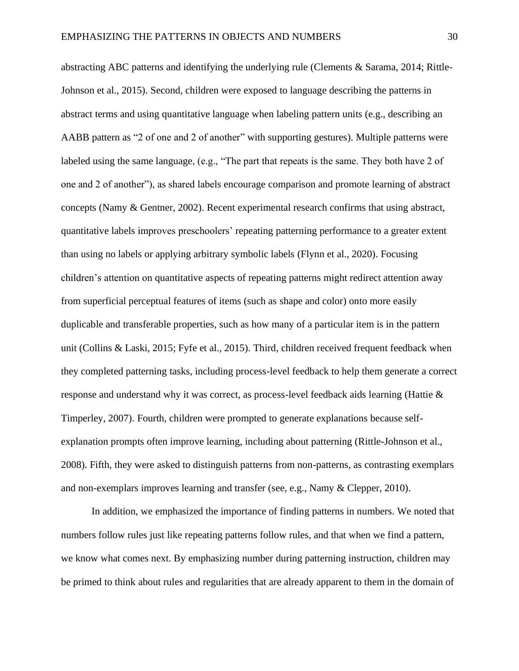abstracting ABC patterns and identifying the underlying rule (Clements & Sarama, 2014; Rittle-Johnson et al., 2015). Second, children were exposed to language describing the patterns in abstract terms and using quantitative language when labeling pattern units (e.g., describing an AABB pattern as "2 of one and 2 of another" with supporting gestures). Multiple patterns were labeled using the same language, (e.g., "The part that repeats is the same. They both have 2 of one and 2 of another"), as shared labels encourage comparison and promote learning of abstract concepts (Namy & Gentner, 2002). Recent experimental research confirms that using abstract, quantitative labels improves preschoolers' repeating patterning performance to a greater extent than using no labels or applying arbitrary symbolic labels (Flynn et al., 2020). Focusing children's attention on quantitative aspects of repeating patterns might redirect attention away from superficial perceptual features of items (such as shape and color) onto more easily duplicable and transferable properties, such as how many of a particular item is in the pattern unit (Collins & Laski, 2015; Fyfe et al., 2015). Third, children received frequent feedback when they completed patterning tasks, including process-level feedback to help them generate a correct response and understand why it was correct, as process-level feedback aids learning (Hattie & Timperley, 2007). Fourth, children were prompted to generate explanations because selfexplanation prompts often improve learning, including about patterning (Rittle-Johnson et al., 2008). Fifth, they were asked to distinguish patterns from non-patterns, as contrasting exemplars and non-exemplars improves learning and transfer (see, e.g., Namy & Clepper, 2010).

In addition, we emphasized the importance of finding patterns in numbers. We noted that numbers follow rules just like repeating patterns follow rules, and that when we find a pattern, we know what comes next. By emphasizing number during patterning instruction, children may be primed to think about rules and regularities that are already apparent to them in the domain of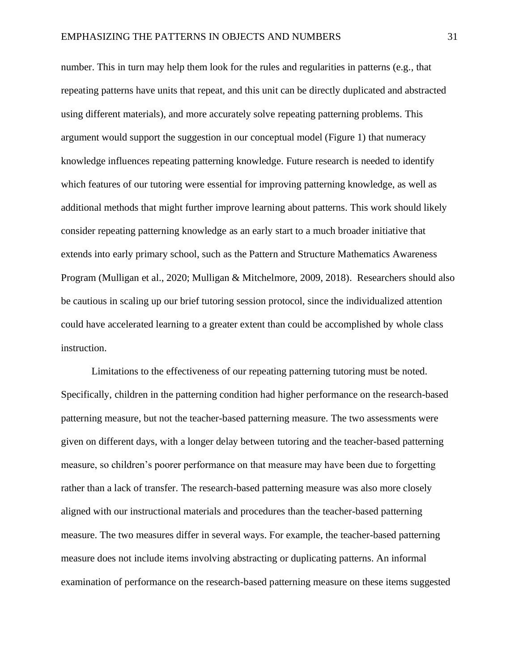number. This in turn may help them look for the rules and regularities in patterns (e.g., that repeating patterns have units that repeat, and this unit can be directly duplicated and abstracted using different materials), and more accurately solve repeating patterning problems. This argument would support the suggestion in our conceptual model (Figure 1) that numeracy knowledge influences repeating patterning knowledge. Future research is needed to identify which features of our tutoring were essential for improving patterning knowledge, as well as additional methods that might further improve learning about patterns. This work should likely consider repeating patterning knowledge as an early start to a much broader initiative that extends into early primary school, such as the Pattern and Structure Mathematics Awareness Program (Mulligan et al., 2020; Mulligan & Mitchelmore, 2009, 2018). Researchers should also be cautious in scaling up our brief tutoring session protocol, since the individualized attention could have accelerated learning to a greater extent than could be accomplished by whole class instruction.

Limitations to the effectiveness of our repeating patterning tutoring must be noted. Specifically, children in the patterning condition had higher performance on the research-based patterning measure, but not the teacher-based patterning measure. The two assessments were given on different days, with a longer delay between tutoring and the teacher-based patterning measure, so children's poorer performance on that measure may have been due to forgetting rather than a lack of transfer. The research-based patterning measure was also more closely aligned with our instructional materials and procedures than the teacher-based patterning measure. The two measures differ in several ways. For example, the teacher-based patterning measure does not include items involving abstracting or duplicating patterns. An informal examination of performance on the research-based patterning measure on these items suggested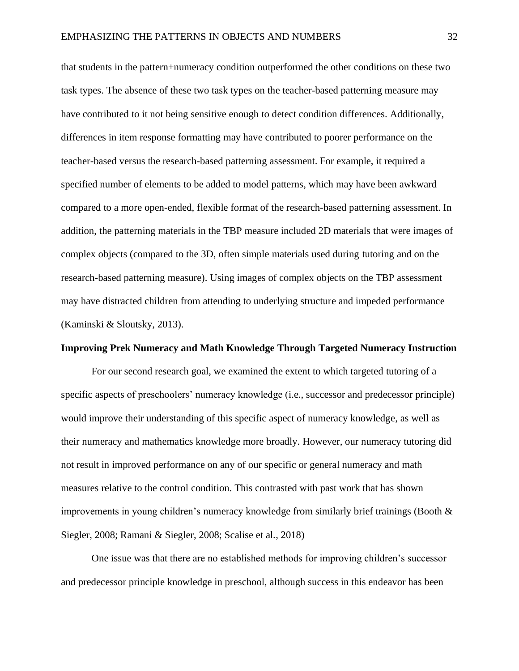that students in the pattern+numeracy condition outperformed the other conditions on these two task types. The absence of these two task types on the teacher-based patterning measure may have contributed to it not being sensitive enough to detect condition differences. Additionally, differences in item response formatting may have contributed to poorer performance on the teacher-based versus the research-based patterning assessment. For example, it required a specified number of elements to be added to model patterns, which may have been awkward compared to a more open-ended, flexible format of the research-based patterning assessment. In addition, the patterning materials in the TBP measure included 2D materials that were images of complex objects (compared to the 3D, often simple materials used during tutoring and on the research-based patterning measure). Using images of complex objects on the TBP assessment may have distracted children from attending to underlying structure and impeded performance (Kaminski & Sloutsky, 2013).

#### **Improving Prek Numeracy and Math Knowledge Through Targeted Numeracy Instruction**

For our second research goal, we examined the extent to which targeted tutoring of a specific aspects of preschoolers' numeracy knowledge (i.e., successor and predecessor principle) would improve their understanding of this specific aspect of numeracy knowledge, as well as their numeracy and mathematics knowledge more broadly. However, our numeracy tutoring did not result in improved performance on any of our specific or general numeracy and math measures relative to the control condition. This contrasted with past work that has shown improvements in young children's numeracy knowledge from similarly brief trainings (Booth & Siegler, 2008; Ramani & Siegler, 2008; Scalise et al., 2018)

One issue was that there are no established methods for improving children's successor and predecessor principle knowledge in preschool, although success in this endeavor has been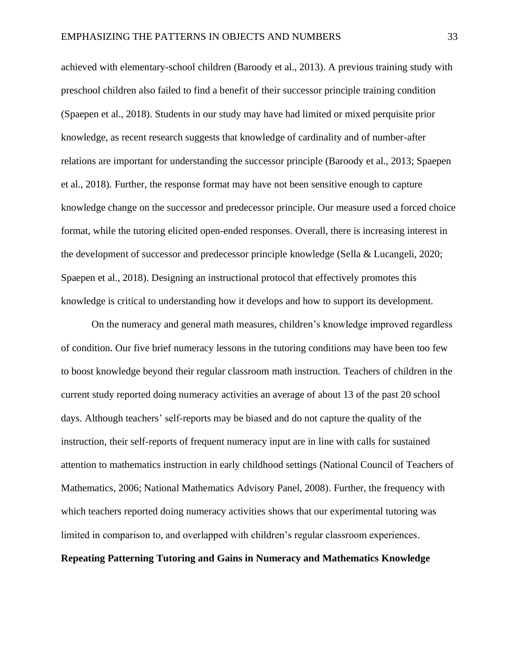achieved with elementary-school children (Baroody et al., 2013). A previous training study with preschool children also failed to find a benefit of their successor principle training condition (Spaepen et al., 2018). Students in our study may have had limited or mixed perquisite prior knowledge, as recent research suggests that knowledge of cardinality and of number-after relations are important for understanding the successor principle (Baroody et al., 2013; Spaepen et al., 2018). Further, the response format may have not been sensitive enough to capture knowledge change on the successor and predecessor principle. Our measure used a forced choice format, while the tutoring elicited open-ended responses. Overall, there is increasing interest in the development of successor and predecessor principle knowledge (Sella & Lucangeli, 2020; Spaepen et al., 2018). Designing an instructional protocol that effectively promotes this knowledge is critical to understanding how it develops and how to support its development.

On the numeracy and general math measures, children's knowledge improved regardless of condition. Our five brief numeracy lessons in the tutoring conditions may have been too few to boost knowledge beyond their regular classroom math instruction. Teachers of children in the current study reported doing numeracy activities an average of about 13 of the past 20 school days. Although teachers' self-reports may be biased and do not capture the quality of the instruction, their self-reports of frequent numeracy input are in line with calls for sustained attention to mathematics instruction in early childhood settings (National Council of Teachers of Mathematics, 2006; National Mathematics Advisory Panel, 2008). Further, the frequency with which teachers reported doing numeracy activities shows that our experimental tutoring was limited in comparison to, and overlapped with children's regular classroom experiences.

## **Repeating Patterning Tutoring and Gains in Numeracy and Mathematics Knowledge**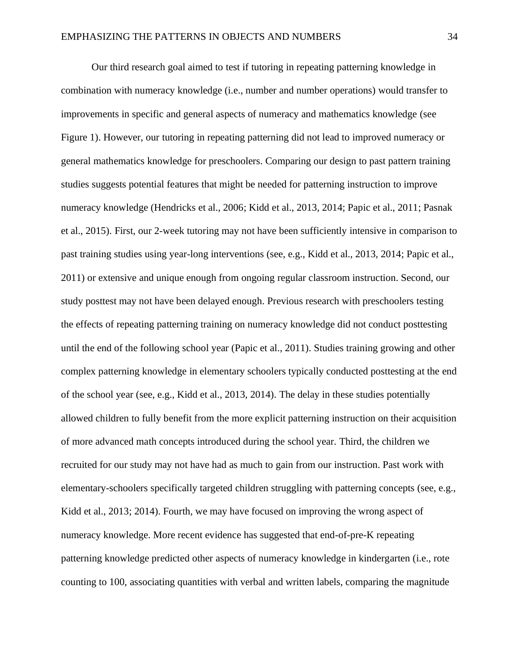Our third research goal aimed to test if tutoring in repeating patterning knowledge in combination with numeracy knowledge (i.e., number and number operations) would transfer to improvements in specific and general aspects of numeracy and mathematics knowledge (see Figure 1). However, our tutoring in repeating patterning did not lead to improved numeracy or general mathematics knowledge for preschoolers. Comparing our design to past pattern training studies suggests potential features that might be needed for patterning instruction to improve numeracy knowledge (Hendricks et al., 2006; Kidd et al., 2013, 2014; Papic et al., 2011; Pasnak et al., 2015). First, our 2-week tutoring may not have been sufficiently intensive in comparison to past training studies using year-long interventions (see, e.g., Kidd et al., 2013, 2014; Papic et al., 2011) or extensive and unique enough from ongoing regular classroom instruction. Second, our study posttest may not have been delayed enough. Previous research with preschoolers testing the effects of repeating patterning training on numeracy knowledge did not conduct posttesting until the end of the following school year (Papic et al., 2011). Studies training growing and other complex patterning knowledge in elementary schoolers typically conducted posttesting at the end of the school year (see, e.g., Kidd et al., 2013, 2014). The delay in these studies potentially allowed children to fully benefit from the more explicit patterning instruction on their acquisition of more advanced math concepts introduced during the school year. Third, the children we recruited for our study may not have had as much to gain from our instruction. Past work with elementary-schoolers specifically targeted children struggling with patterning concepts (see, e.g., Kidd et al., 2013; 2014). Fourth, we may have focused on improving the wrong aspect of numeracy knowledge. More recent evidence has suggested that end-of-pre-K repeating patterning knowledge predicted other aspects of numeracy knowledge in kindergarten (i.e., rote counting to 100, associating quantities with verbal and written labels, comparing the magnitude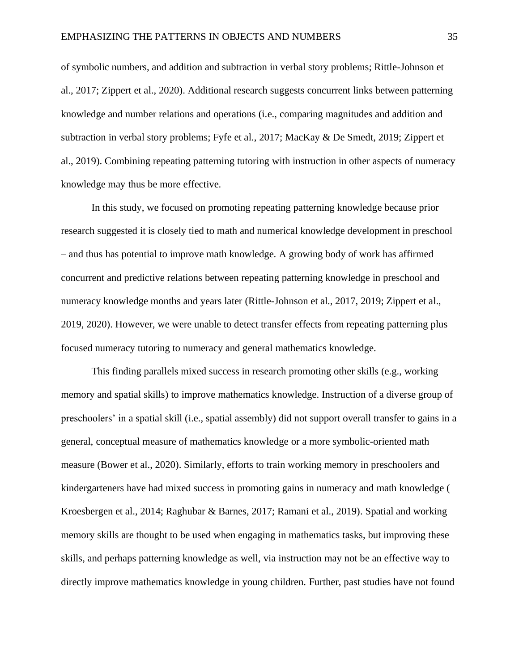of symbolic numbers, and addition and subtraction in verbal story problems; Rittle-Johnson et al., 2017; Zippert et al., 2020). Additional research suggests concurrent links between patterning knowledge and number relations and operations (i.e., comparing magnitudes and addition and subtraction in verbal story problems; Fyfe et al., 2017; MacKay & De Smedt, 2019; Zippert et al., 2019). Combining repeating patterning tutoring with instruction in other aspects of numeracy knowledge may thus be more effective.

In this study, we focused on promoting repeating patterning knowledge because prior research suggested it is closely tied to math and numerical knowledge development in preschool – and thus has potential to improve math knowledge. A growing body of work has affirmed concurrent and predictive relations between repeating patterning knowledge in preschool and numeracy knowledge months and years later (Rittle-Johnson et al., 2017, 2019; Zippert et al., 2019, 2020). However, we were unable to detect transfer effects from repeating patterning plus focused numeracy tutoring to numeracy and general mathematics knowledge.

This finding parallels mixed success in research promoting other skills (e.g., working memory and spatial skills) to improve mathematics knowledge. Instruction of a diverse group of preschoolers' in a spatial skill (i.e., spatial assembly) did not support overall transfer to gains in a general, conceptual measure of mathematics knowledge or a more symbolic-oriented math measure (Bower et al., 2020). Similarly, efforts to train working memory in preschoolers and kindergarteners have had mixed success in promoting gains in numeracy and math knowledge ( Kroesbergen et al., 2014; Raghubar & Barnes, 2017; Ramani et al., 2019). Spatial and working memory skills are thought to be used when engaging in mathematics tasks, but improving these skills, and perhaps patterning knowledge as well, via instruction may not be an effective way to directly improve mathematics knowledge in young children. Further, past studies have not found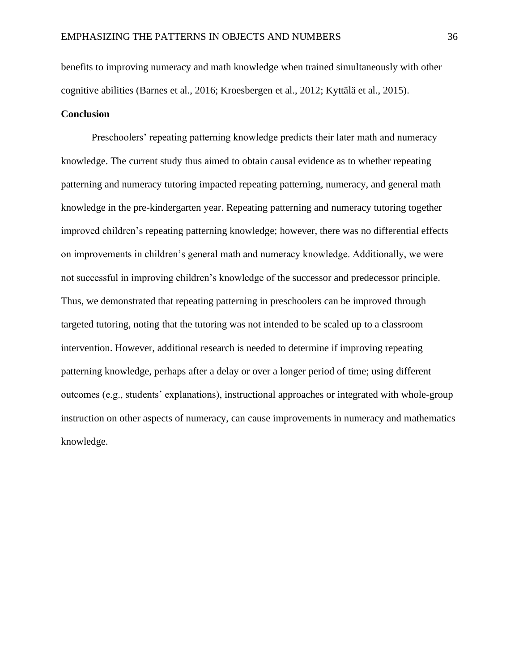benefits to improving numeracy and math knowledge when trained simultaneously with other cognitive abilities (Barnes et al., 2016; Kroesbergen et al., 2012; Kyttälä et al., 2015).

### **Conclusion**

Preschoolers' repeating patterning knowledge predicts their later math and numeracy knowledge. The current study thus aimed to obtain causal evidence as to whether repeating patterning and numeracy tutoring impacted repeating patterning, numeracy, and general math knowledge in the pre-kindergarten year. Repeating patterning and numeracy tutoring together improved children's repeating patterning knowledge; however, there was no differential effects on improvements in children's general math and numeracy knowledge. Additionally, we were not successful in improving children's knowledge of the successor and predecessor principle. Thus, we demonstrated that repeating patterning in preschoolers can be improved through targeted tutoring, noting that the tutoring was not intended to be scaled up to a classroom intervention. However, additional research is needed to determine if improving repeating patterning knowledge, perhaps after a delay or over a longer period of time; using different outcomes (e.g., students' explanations), instructional approaches or integrated with whole-group instruction on other aspects of numeracy, can cause improvements in numeracy and mathematics knowledge.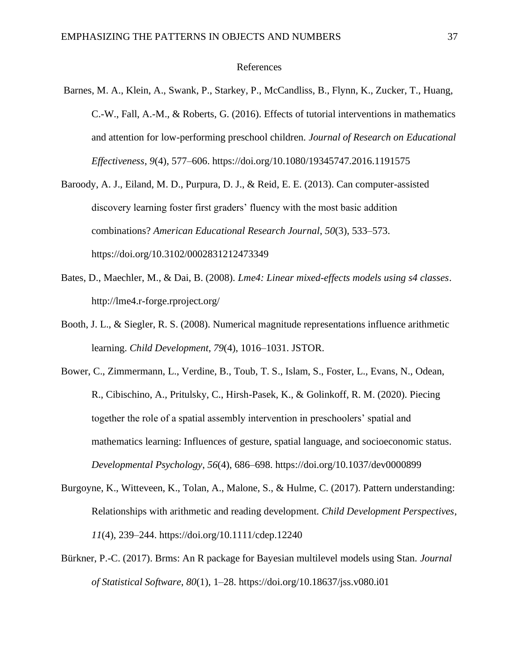#### References

- Barnes, M. A., Klein, A., Swank, P., Starkey, P., McCandliss, B., Flynn, K., Zucker, T., Huang, C.-W., Fall, A.-M., & Roberts, G. (2016). Effects of tutorial interventions in mathematics and attention for low-performing preschool children. *Journal of Research on Educational Effectiveness*, *9*(4), 577–606. https://doi.org/10.1080/19345747.2016.1191575
- Baroody, A. J., Eiland, M. D., Purpura, D. J., & Reid, E. E. (2013). Can computer-assisted discovery learning foster first graders' fluency with the most basic addition combinations? *American Educational Research Journal*, *50*(3), 533–573. https://doi.org/10.3102/0002831212473349
- Bates, D., Maechler, M., & Dai, B. (2008). *Lme4: Linear mixed-effects models using s4 classes*. http://lme4.r-forge.rproject.org/
- Booth, J. L., & Siegler, R. S. (2008). Numerical magnitude representations influence arithmetic learning. *Child Development*, *79*(4), 1016–1031. JSTOR.
- Bower, C., Zimmermann, L., Verdine, B., Toub, T. S., Islam, S., Foster, L., Evans, N., Odean, R., Cibischino, A., Pritulsky, C., Hirsh-Pasek, K., & Golinkoff, R. M. (2020). Piecing together the role of a spatial assembly intervention in preschoolers' spatial and mathematics learning: Influences of gesture, spatial language, and socioeconomic status. *Developmental Psychology*, *56*(4), 686–698. https://doi.org/10.1037/dev0000899
- Burgoyne, K., Witteveen, K., Tolan, A., Malone, S., & Hulme, C. (2017). Pattern understanding: Relationships with arithmetic and reading development. *Child Development Perspectives*, *11*(4), 239–244. https://doi.org/10.1111/cdep.12240
- Bürkner, P.-C. (2017). Brms: An R package for Bayesian multilevel models using Stan. *Journal of Statistical Software*, *80*(1), 1–28. https://doi.org/10.18637/jss.v080.i01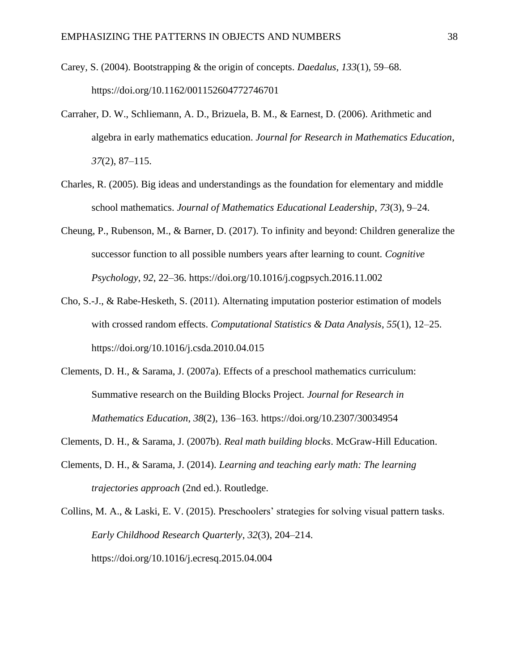- Carey, S. (2004). Bootstrapping & the origin of concepts. *Daedalus*, *133*(1), 59–68. https://doi.org/10.1162/001152604772746701
- Carraher, D. W., Schliemann, A. D., Brizuela, B. M., & Earnest, D. (2006). Arithmetic and algebra in early mathematics education. *Journal for Research in Mathematics Education*, *37*(2), 87–115.
- Charles, R. (2005). Big ideas and understandings as the foundation for elementary and middle school mathematics. *Journal of Mathematics Educational Leadership*, *73*(3), 9–24.
- Cheung, P., Rubenson, M., & Barner, D. (2017). To infinity and beyond: Children generalize the successor function to all possible numbers years after learning to count. *Cognitive Psychology*, *92*, 22–36. https://doi.org/10.1016/j.cogpsych.2016.11.002
- Cho, S.-J., & Rabe-Hesketh, S. (2011). Alternating imputation posterior estimation of models with crossed random effects. *Computational Statistics & Data Analysis*, *55*(1), 12–25. https://doi.org/10.1016/j.csda.2010.04.015
- Clements, D. H., & Sarama, J. (2007a). Effects of a preschool mathematics curriculum: Summative research on the Building Blocks Project. *Journal for Research in Mathematics Education*, *38*(2), 136–163. https://doi.org/10.2307/30034954
- Clements, D. H., & Sarama, J. (2007b). *Real math building blocks*. McGraw-Hill Education.
- Clements, D. H., & Sarama, J. (2014). *Learning and teaching early math: The learning trajectories approach* (2nd ed.). Routledge.

Collins, M. A., & Laski, E. V. (2015). Preschoolers' strategies for solving visual pattern tasks. *Early Childhood Research Quarterly*, *32*(3), 204–214. https://doi.org/10.1016/j.ecresq.2015.04.004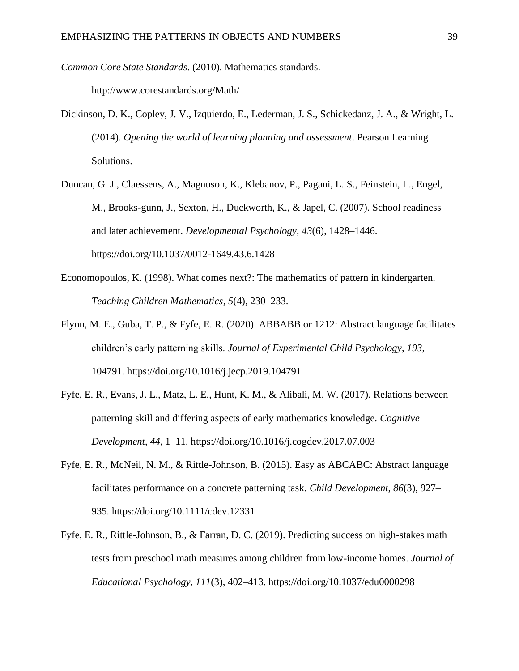*Common Core State Standards*. (2010). Mathematics standards.

http://www.corestandards.org/Math/

- Dickinson, D. K., Copley, J. V., Izquierdo, E., Lederman, J. S., Schickedanz, J. A., & Wright, L. (2014). *Opening the world of learning planning and assessment*. Pearson Learning Solutions.
- Duncan, G. J., Claessens, A., Magnuson, K., Klebanov, P., Pagani, L. S., Feinstein, L., Engel, M., Brooks-gunn, J., Sexton, H., Duckworth, K., & Japel, C. (2007). School readiness and later achievement. *Developmental Psychology*, *43*(6), 1428–1446. https://doi.org/10.1037/0012-1649.43.6.1428
- Economopoulos, K. (1998). What comes next?: The mathematics of pattern in kindergarten. *Teaching Children Mathematics*, *5*(4), 230–233.
- Flynn, M. E., Guba, T. P., & Fyfe, E. R. (2020). ABBABB or 1212: Abstract language facilitates children's early patterning skills. *Journal of Experimental Child Psychology*, *193*, 104791. https://doi.org/10.1016/j.jecp.2019.104791
- Fyfe, E. R., Evans, J. L., Matz, L. E., Hunt, K. M., & Alibali, M. W. (2017). Relations between patterning skill and differing aspects of early mathematics knowledge. *Cognitive Development*, *44*, 1–11. https://doi.org/10.1016/j.cogdev.2017.07.003
- Fyfe, E. R., McNeil, N. M., & Rittle-Johnson, B. (2015). Easy as ABCABC: Abstract language facilitates performance on a concrete patterning task. *Child Development*, *86*(3), 927– 935. https://doi.org/10.1111/cdev.12331
- Fyfe, E. R., Rittle-Johnson, B., & Farran, D. C. (2019). Predicting success on high-stakes math tests from preschool math measures among children from low-income homes. *Journal of Educational Psychology*, *111*(3), 402–413. https://doi.org/10.1037/edu0000298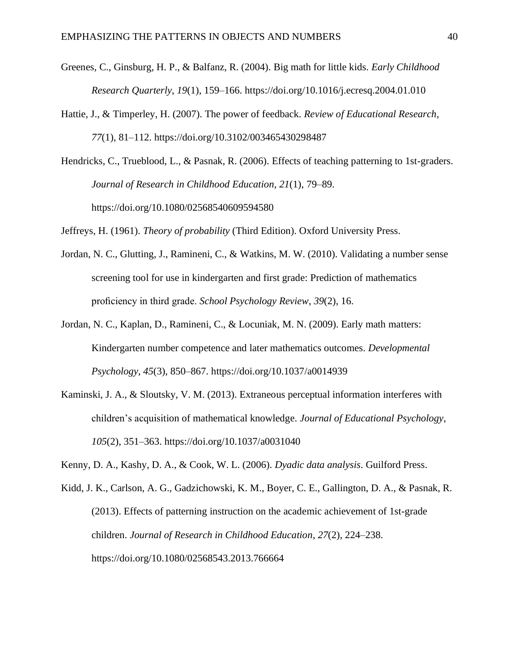- Greenes, C., Ginsburg, H. P., & Balfanz, R. (2004). Big math for little kids. *Early Childhood Research Quarterly*, *19*(1), 159–166. https://doi.org/10.1016/j.ecresq.2004.01.010
- Hattie, J., & Timperley, H. (2007). The power of feedback. *Review of Educational Research*, *77*(1), 81–112. https://doi.org/10.3102/003465430298487

Hendricks, C., Trueblood, L., & Pasnak, R. (2006). Effects of teaching patterning to 1st-graders. *Journal of Research in Childhood Education*, *21*(1), 79–89. https://doi.org/10.1080/02568540609594580

Jeffreys, H. (1961). *Theory of probability* (Third Edition). Oxford University Press.

- Jordan, N. C., Glutting, J., Ramineni, C., & Watkins, M. W. (2010). Validating a number sense screening tool for use in kindergarten and first grade: Prediction of mathematics proficiency in third grade. *School Psychology Review*, *39*(2), 16.
- Jordan, N. C., Kaplan, D., Ramineni, C., & Locuniak, M. N. (2009). Early math matters: Kindergarten number competence and later mathematics outcomes. *Developmental Psychology*, *45*(3), 850–867. https://doi.org/10.1037/a0014939
- Kaminski, J. A., & Sloutsky, V. M. (2013). Extraneous perceptual information interferes with children's acquisition of mathematical knowledge. *Journal of Educational Psychology*, *105*(2), 351–363. https://doi.org/10.1037/a0031040
- Kenny, D. A., Kashy, D. A., & Cook, W. L. (2006). *Dyadic data analysis*. Guilford Press.
- Kidd, J. K., Carlson, A. G., Gadzichowski, K. M., Boyer, C. E., Gallington, D. A., & Pasnak, R. (2013). Effects of patterning instruction on the academic achievement of 1st-grade children. *Journal of Research in Childhood Education*, *27*(2), 224–238. https://doi.org/10.1080/02568543.2013.766664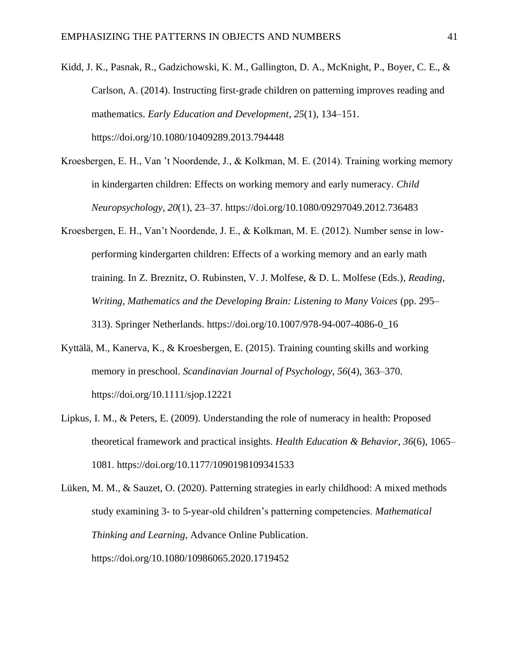Kidd, J. K., Pasnak, R., Gadzichowski, K. M., Gallington, D. A., McKnight, P., Boyer, C. E., & Carlson, A. (2014). Instructing first-grade children on patterning improves reading and mathematics. *Early Education and Development*, *25*(1), 134–151. https://doi.org/10.1080/10409289.2013.794448

- Kroesbergen, E. H., Van 't Noordende, J., & Kolkman, M. E. (2014). Training working memory in kindergarten children: Effects on working memory and early numeracy. *Child Neuropsychology*, *20*(1), 23–37. https://doi.org/10.1080/09297049.2012.736483
- Kroesbergen, E. H., Van't Noordende, J. E., & Kolkman, M. E. (2012). Number sense in lowperforming kindergarten children: Effects of a working memory and an early math training. In Z. Breznitz, O. Rubinsten, V. J. Molfese, & D. L. Molfese (Eds.), *Reading, Writing, Mathematics and the Developing Brain: Listening to Many Voices* (pp. 295– 313). Springer Netherlands. https://doi.org/10.1007/978-94-007-4086-0\_16
- Kyttälä, M., Kanerva, K., & Kroesbergen, E. (2015). Training counting skills and working memory in preschool. *Scandinavian Journal of Psychology*, *56*(4), 363–370. https://doi.org/10.1111/sjop.12221
- Lipkus, I. M., & Peters, E. (2009). Understanding the role of numeracy in health: Proposed theoretical framework and practical insights. *Health Education & Behavior*, *36*(6), 1065– 1081. https://doi.org/10.1177/1090198109341533

Lüken, M. M., & Sauzet, O. (2020). Patterning strategies in early childhood: A mixed methods study examining 3- to 5-year-old children's patterning competencies. *Mathematical Thinking and Learning*, Advance Online Publication. https://doi.org/10.1080/10986065.2020.1719452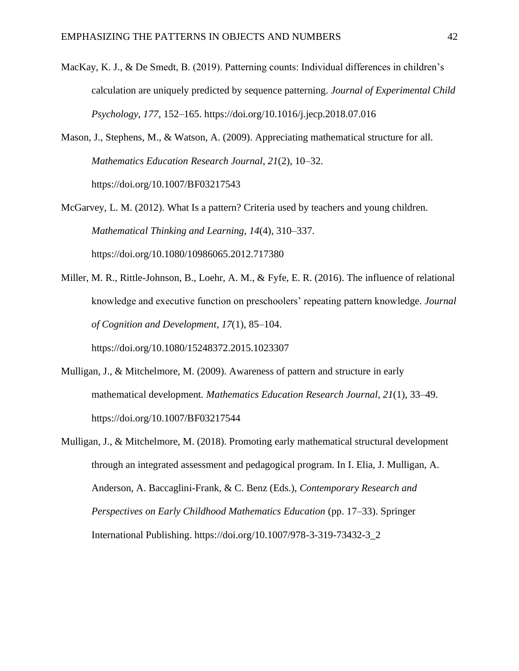- MacKay, K. J., & De Smedt, B. (2019). Patterning counts: Individual differences in children's calculation are uniquely predicted by sequence patterning. *Journal of Experimental Child Psychology*, *177*, 152–165. https://doi.org/10.1016/j.jecp.2018.07.016
- Mason, J., Stephens, M., & Watson, A. (2009). Appreciating mathematical structure for all. *Mathematics Education Research Journal*, *21*(2), 10–32. https://doi.org/10.1007/BF03217543

McGarvey, L. M. (2012). What Is a pattern? Criteria used by teachers and young children. *Mathematical Thinking and Learning*, *14*(4), 310–337. https://doi.org/10.1080/10986065.2012.717380

Miller, M. R., Rittle-Johnson, B., Loehr, A. M., & Fyfe, E. R. (2016). The influence of relational knowledge and executive function on preschoolers' repeating pattern knowledge. *Journal of Cognition and Development*, *17*(1), 85–104.

https://doi.org/10.1080/15248372.2015.1023307

- Mulligan, J., & Mitchelmore, M. (2009). Awareness of pattern and structure in early mathematical development. *Mathematics Education Research Journal*, *21*(1), 33–49. https://doi.org/10.1007/BF03217544
- Mulligan, J., & Mitchelmore, M. (2018). Promoting early mathematical structural development through an integrated assessment and pedagogical program. In I. Elia, J. Mulligan, A. Anderson, A. Baccaglini-Frank, & C. Benz (Eds.), *Contemporary Research and Perspectives on Early Childhood Mathematics Education* (pp. 17–33). Springer International Publishing. https://doi.org/10.1007/978-3-319-73432-3\_2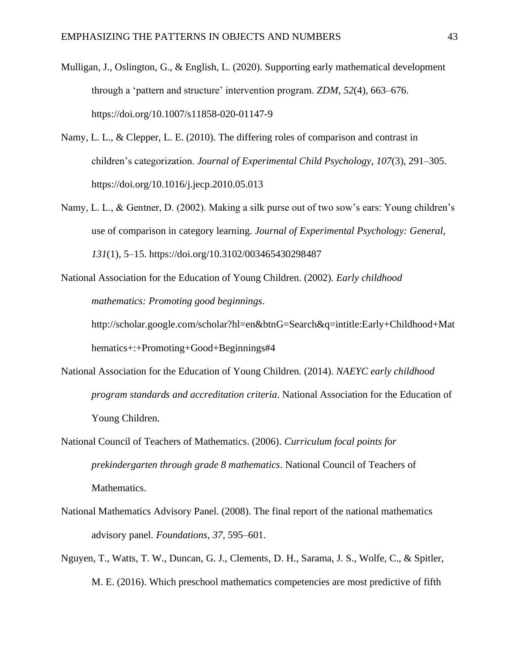- Mulligan, J., Oslington, G., & English, L. (2020). Supporting early mathematical development through a 'pattern and structure' intervention program. *ZDM*, *52*(4), 663–676. https://doi.org/10.1007/s11858-020-01147-9
- Namy, L. L., & Clepper, L. E. (2010). The differing roles of comparison and contrast in children's categorization. *Journal of Experimental Child Psychology*, *107*(3), 291–305. https://doi.org/10.1016/j.jecp.2010.05.013
- Namy, L. L., & Gentner, D. (2002). Making a silk purse out of two sow's ears: Young children's use of comparison in category learning. *Journal of Experimental Psychology: General*, *131*(1), 5–15. https://doi.org/10.3102/003465430298487

National Association for the Education of Young Children. (2002). *Early childhood mathematics: Promoting good beginnings*.

http://scholar.google.com/scholar?hl=en&btnG=Search&q=intitle:Early+Childhood+Mat hematics+:+Promoting+Good+Beginnings#4

- National Association for the Education of Young Children. (2014). *NAEYC early childhood program standards and accreditation criteria*. National Association for the Education of Young Children.
- National Council of Teachers of Mathematics. (2006). *Curriculum focal points for prekindergarten through grade 8 mathematics*. National Council of Teachers of Mathematics.
- National Mathematics Advisory Panel. (2008). The final report of the national mathematics advisory panel. *Foundations*, *37*, 595–601.
- Nguyen, T., Watts, T. W., Duncan, G. J., Clements, D. H., Sarama, J. S., Wolfe, C., & Spitler, M. E. (2016). Which preschool mathematics competencies are most predictive of fifth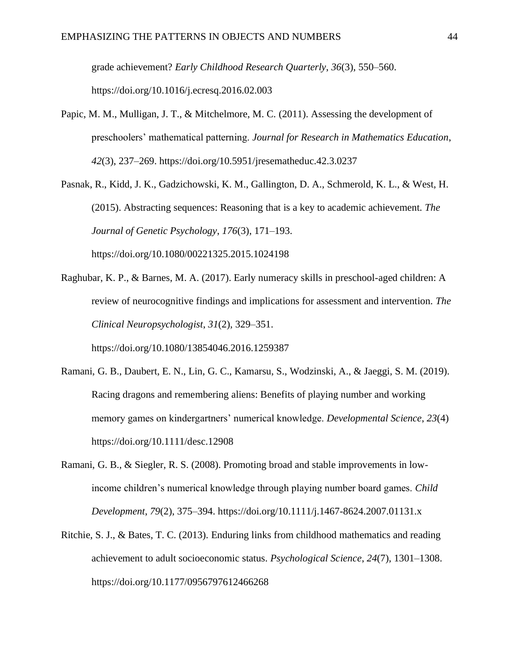grade achievement? *Early Childhood Research Quarterly*, *36*(3), 550–560. https://doi.org/10.1016/j.ecresq.2016.02.003

Papic, M. M., Mulligan, J. T., & Mitchelmore, M. C. (2011). Assessing the development of preschoolers' mathematical patterning. *Journal for Research in Mathematics Education*, *42*(3), 237–269. https://doi.org/10.5951/jresematheduc.42.3.0237

Pasnak, R., Kidd, J. K., Gadzichowski, K. M., Gallington, D. A., Schmerold, K. L., & West, H. (2015). Abstracting sequences: Reasoning that is a key to academic achievement. *The Journal of Genetic Psychology*, *176*(3), 171–193. https://doi.org/10.1080/00221325.2015.1024198

Raghubar, K. P., & Barnes, M. A. (2017). Early numeracy skills in preschool-aged children: A review of neurocognitive findings and implications for assessment and intervention. *The Clinical Neuropsychologist*, *31*(2), 329–351.

https://doi.org/10.1080/13854046.2016.1259387

- Ramani, G. B., Daubert, E. N., Lin, G. C., Kamarsu, S., Wodzinski, A., & Jaeggi, S. M. (2019). Racing dragons and remembering aliens: Benefits of playing number and working memory games on kindergartners' numerical knowledge. *Developmental Science*, *23*(4) https://doi.org/10.1111/desc.12908
- Ramani, G. B., & Siegler, R. S. (2008). Promoting broad and stable improvements in lowincome children's numerical knowledge through playing number board games. *Child Development*, *79*(2), 375–394. https://doi.org/10.1111/j.1467-8624.2007.01131.x
- Ritchie, S. J., & Bates, T. C. (2013). Enduring links from childhood mathematics and reading achievement to adult socioeconomic status. *Psychological Science*, *24*(7), 1301–1308. https://doi.org/10.1177/0956797612466268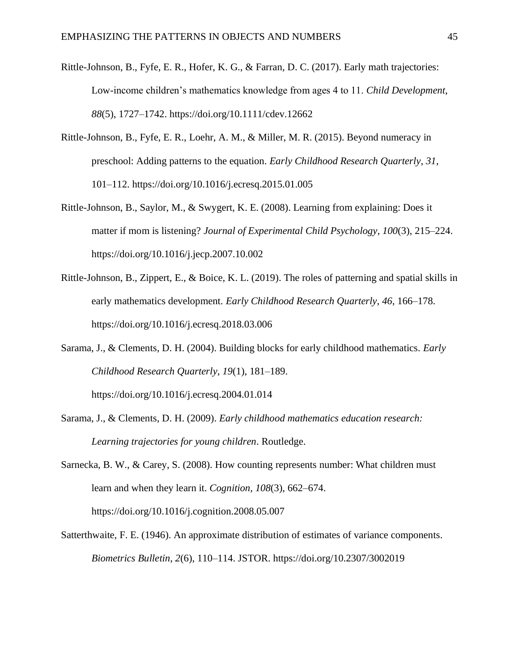- Rittle-Johnson, B., Fyfe, E. R., Hofer, K. G., & Farran, D. C. (2017). Early math trajectories: Low-income children's mathematics knowledge from ages 4 to 11. *Child Development*, *88*(5), 1727–1742. https://doi.org/10.1111/cdev.12662
- Rittle-Johnson, B., Fyfe, E. R., Loehr, A. M., & Miller, M. R. (2015). Beyond numeracy in preschool: Adding patterns to the equation. *Early Childhood Research Quarterly*, *31*, 101–112. https://doi.org/10.1016/j.ecresq.2015.01.005
- Rittle-Johnson, B., Saylor, M., & Swygert, K. E. (2008). Learning from explaining: Does it matter if mom is listening? *Journal of Experimental Child Psychology*, *100*(3), 215–224. https://doi.org/10.1016/j.jecp.2007.10.002
- Rittle-Johnson, B., Zippert, E., & Boice, K. L. (2019). The roles of patterning and spatial skills in early mathematics development. *Early Childhood Research Quarterly*, *46*, 166–178. https://doi.org/10.1016/j.ecresq.2018.03.006
- Sarama, J., & Clements, D. H. (2004). Building blocks for early childhood mathematics. *Early Childhood Research Quarterly*, *19*(1), 181–189.
	- https://doi.org/10.1016/j.ecresq.2004.01.014
- Sarama, J., & Clements, D. H. (2009). *Early childhood mathematics education research: Learning trajectories for young children*. Routledge.
- Sarnecka, B. W., & Carey, S. (2008). How counting represents number: What children must learn and when they learn it. *Cognition*, *108*(3), 662–674. https://doi.org/10.1016/j.cognition.2008.05.007
- Satterthwaite, F. E. (1946). An approximate distribution of estimates of variance components. *Biometrics Bulletin*, *2*(6), 110–114. JSTOR. https://doi.org/10.2307/3002019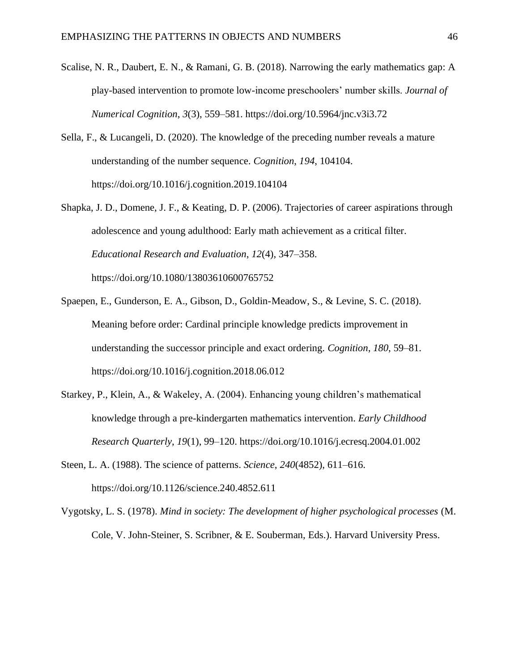- Scalise, N. R., Daubert, E. N., & Ramani, G. B. (2018). Narrowing the early mathematics gap: A play-based intervention to promote low-income preschoolers' number skills. *Journal of Numerical Cognition*, *3*(3), 559–581. https://doi.org/10.5964/jnc.v3i3.72
- Sella, F., & Lucangeli, D. (2020). The knowledge of the preceding number reveals a mature understanding of the number sequence. *Cognition*, *194*, 104104. https://doi.org/10.1016/j.cognition.2019.104104
- Shapka, J. D., Domene, J. F., & Keating, D. P. (2006). Trajectories of career aspirations through adolescence and young adulthood: Early math achievement as a critical filter. *Educational Research and Evaluation*, *12*(4), 347–358. https://doi.org/10.1080/13803610600765752
- Spaepen, E., Gunderson, E. A., Gibson, D., Goldin-Meadow, S., & Levine, S. C. (2018). Meaning before order: Cardinal principle knowledge predicts improvement in understanding the successor principle and exact ordering. *Cognition*, *180*, 59–81. https://doi.org/10.1016/j.cognition.2018.06.012
- Starkey, P., Klein, A., & Wakeley, A. (2004). Enhancing young children's mathematical knowledge through a pre-kindergarten mathematics intervention. *Early Childhood Research Quarterly*, *19*(1), 99–120. https://doi.org/10.1016/j.ecresq.2004.01.002
- Steen, L. A. (1988). The science of patterns. *Science*, *240*(4852), 611–616. https://doi.org/10.1126/science.240.4852.611
- Vygotsky, L. S. (1978). *Mind in society: The development of higher psychological processes* (M. Cole, V. John-Steiner, S. Scribner, & E. Souberman, Eds.). Harvard University Press.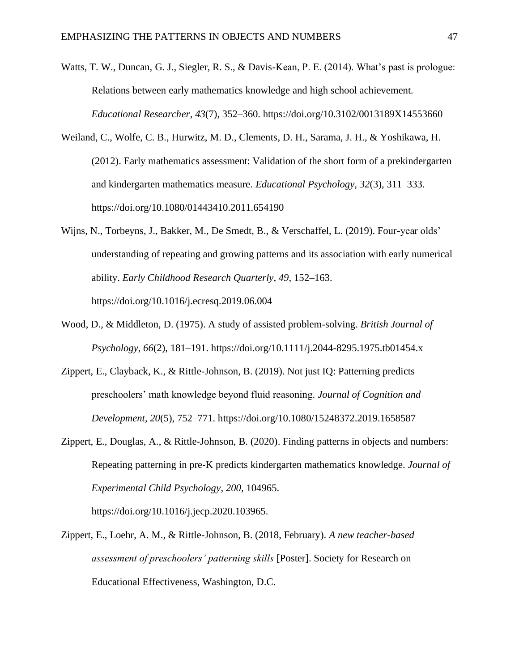- Watts, T. W., Duncan, G. J., Siegler, R. S., & Davis-Kean, P. E. (2014). What's past is prologue: Relations between early mathematics knowledge and high school achievement. *Educational Researcher*, *43*(7), 352–360. https://doi.org/10.3102/0013189X14553660
- Weiland, C., Wolfe, C. B., Hurwitz, M. D., Clements, D. H., Sarama, J. H., & Yoshikawa, H. (2012). Early mathematics assessment: Validation of the short form of a prekindergarten and kindergarten mathematics measure. *Educational Psychology*, *32*(3), 311–333. https://doi.org/10.1080/01443410.2011.654190
- Wijns, N., Torbeyns, J., Bakker, M., De Smedt, B., & Verschaffel, L. (2019). Four-year olds' understanding of repeating and growing patterns and its association with early numerical ability. *Early Childhood Research Quarterly*, *49*, 152–163. https://doi.org/10.1016/j.ecresq.2019.06.004
- Wood, D., & Middleton, D. (1975). A study of assisted problem-solving. *British Journal of Psychology*, *66*(2), 181–191. https://doi.org/10.1111/j.2044-8295.1975.tb01454.x
- Zippert, E., Clayback, K., & Rittle-Johnson, B. (2019). Not just IQ: Patterning predicts preschoolers' math knowledge beyond fluid reasoning. *Journal of Cognition and Development*, *20*(5), 752–771. https://doi.org/10.1080/15248372.2019.1658587
- Zippert, E., Douglas, A., & Rittle-Johnson, B. (2020). Finding patterns in objects and numbers: Repeating patterning in pre-K predicts kindergarten mathematics knowledge. *Journal of Experimental Child Psychology*, *200*, 104965.

https://doi.org/10.1016/j.jecp.2020.103965.

Zippert, E., Loehr, A. M., & Rittle-Johnson, B. (2018, February). *A new teacher-based assessment of preschoolers' patterning skills* [Poster]. Society for Research on Educational Effectiveness, Washington, D.C.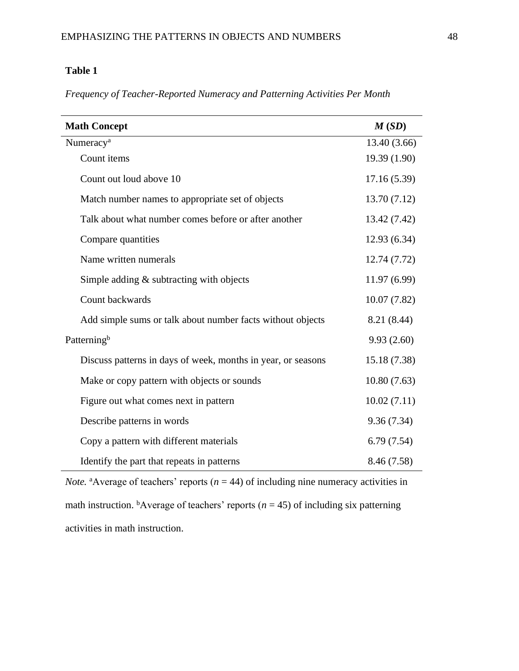*Frequency of Teacher-Reported Numeracy and Patterning Activities Per Month*

| <b>Math Concept</b>                                          | M(SD)        |
|--------------------------------------------------------------|--------------|
| Numeracy <sup>a</sup>                                        | 13.40 (3.66) |
| Count items                                                  | 19.39 (1.90) |
| Count out loud above 10                                      | 17.16(5.39)  |
| Match number names to appropriate set of objects             | 13.70 (7.12) |
| Talk about what number comes before or after another         | 13.42 (7.42) |
| Compare quantities                                           | 12.93 (6.34) |
| Name written numerals                                        | 12.74 (7.72) |
| Simple adding $&$ subtracting with objects                   | 11.97 (6.99) |
| Count backwards                                              | 10.07(7.82)  |
| Add simple sums or talk about number facts without objects   | 8.21 (8.44)  |
| Patterning <sup>b</sup>                                      | 9.93(2.60)   |
| Discuss patterns in days of week, months in year, or seasons | 15.18 (7.38) |
| Make or copy pattern with objects or sounds                  | 10.80(7.63)  |
| Figure out what comes next in pattern                        | 10.02(7.11)  |
| Describe patterns in words                                   | 9.36(7.34)   |
| Copy a pattern with different materials                      | 6.79(7.54)   |
| Identify the part that repeats in patterns                   | 8.46 (7.58)  |

*Note.* <sup>a</sup>Average of teachers' reports ( $n = 44$ ) of including nine numeracy activities in math instruction. <sup>b</sup>Average of teachers' reports ( $n = 45$ ) of including six patterning activities in math instruction.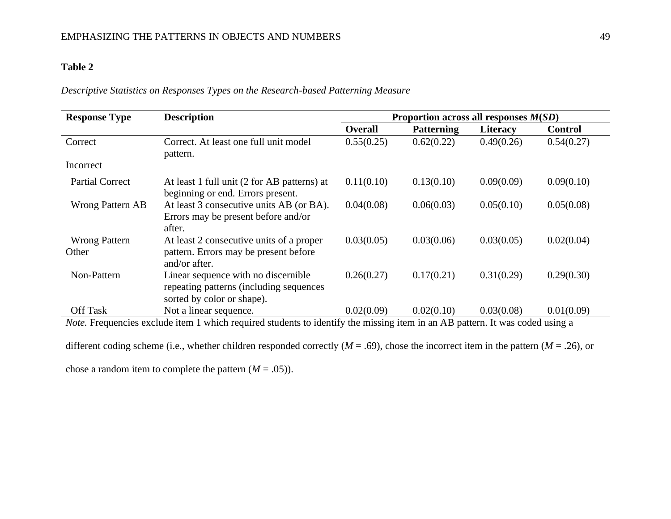## *Descriptive Statistics on Responses Types on the Research-based Patterning Measure*

| <b>Response Type</b>          | <b>Description</b>                                                                                           | Proportion across all responses $M(SD)$ |                   |                 |                |  |  |  |
|-------------------------------|--------------------------------------------------------------------------------------------------------------|-----------------------------------------|-------------------|-----------------|----------------|--|--|--|
|                               |                                                                                                              | <b>Overall</b>                          | <b>Patterning</b> | <b>Literacy</b> | <b>Control</b> |  |  |  |
| Correct                       | Correct. At least one full unit model<br>pattern.                                                            | 0.55(0.25)                              | 0.62(0.22)        | 0.49(0.26)      | 0.54(0.27)     |  |  |  |
| Incorrect                     |                                                                                                              |                                         |                   |                 |                |  |  |  |
| <b>Partial Correct</b>        | At least 1 full unit (2 for AB patterns) at<br>beginning or end. Errors present.                             | 0.11(0.10)                              | 0.13(0.10)        | 0.09(0.09)      | 0.09(0.10)     |  |  |  |
| <b>Wrong Pattern AB</b>       | At least 3 consecutive units AB (or BA).<br>Errors may be present before and/or<br>after.                    | 0.04(0.08)                              | 0.06(0.03)        | 0.05(0.10)      | 0.05(0.08)     |  |  |  |
| <b>Wrong Pattern</b><br>Other | At least 2 consecutive units of a proper<br>pattern. Errors may be present before<br>and/or after.           | 0.03(0.05)                              | 0.03(0.06)        | 0.03(0.05)      | 0.02(0.04)     |  |  |  |
| Non-Pattern                   | Linear sequence with no discernible<br>repeating patterns (including sequences<br>sorted by color or shape). | 0.26(0.27)                              | 0.17(0.21)        | 0.31(0.29)      | 0.29(0.30)     |  |  |  |
| <b>Off Task</b>               | Not a linear sequence.                                                                                       | 0.02(0.09)                              | 0.02(0.10)        | 0.03(0.08)      | 0.01(0.09)     |  |  |  |

*Note*. Frequencies exclude item 1 which required students to identify the missing item in an AB pattern. It was coded using a

different coding scheme (i.e., whether children responded correctly (*M* = .69), chose the incorrect item in the pattern (*M* = .26), or

chose a random item to complete the pattern  $(M = .05)$ ).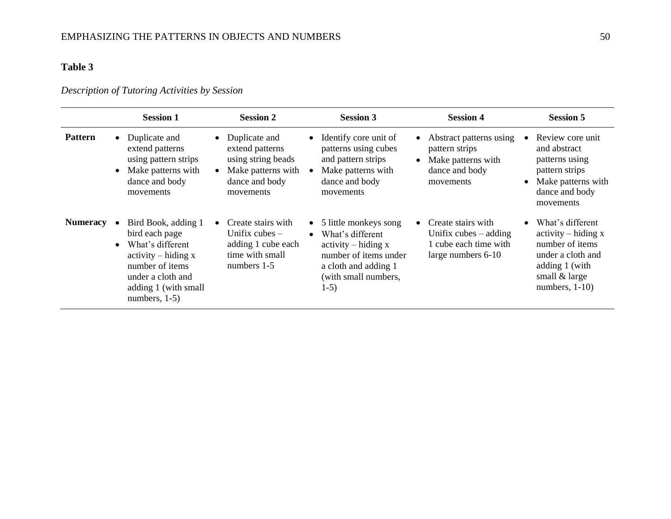# *Description of Tutoring Activities by Session*

|                 |           | <b>Session 1</b>                                                                                                                                                       | <b>Session 2</b>                                                                                            | <b>Session 3</b>                                                                                                                                          |           | <b>Session 4</b>                                                                                 | <b>Session 5</b>                                                                                                                          |
|-----------------|-----------|------------------------------------------------------------------------------------------------------------------------------------------------------------------------|-------------------------------------------------------------------------------------------------------------|-----------------------------------------------------------------------------------------------------------------------------------------------------------|-----------|--------------------------------------------------------------------------------------------------|-------------------------------------------------------------------------------------------------------------------------------------------|
| <b>Pattern</b>  | $\bullet$ | • Duplicate and<br>extend patterns<br>using pattern strips<br>Make patterns with<br>dance and body<br>movements                                                        | Duplicate and<br>extend patterns<br>using string beads<br>Make patterns with<br>dance and body<br>movements | • Identify core unit of<br>patterns using cubes<br>and pattern strips<br>Make patterns with<br>dance and body<br>movements                                | $\bullet$ | • Abstract patterns using<br>pattern strips<br>Make patterns with<br>dance and body<br>movements | Review core unit<br>and abstract<br>patterns using<br>pattern strips<br>Make patterns with<br>dance and body<br>movements                 |
| <b>Numeracy</b> | $\bullet$ | Bird Book, adding 1<br>bird each page<br>What's different<br>$activity - hiding x$<br>number of items<br>under a cloth and<br>adding 1 (with small<br>numbers, $1-5$ ) | Create stairs with<br>Unifix cubes $-$<br>adding 1 cube each<br>time with small<br>numbers 1-5              | • 5 little monkeys song<br>• What's different<br>$activity - hiding x$<br>number of items under<br>a cloth and adding 1<br>(with small numbers,<br>$1-5)$ | $\bullet$ | Create stairs with<br>Unifix cubes $-$ adding<br>1 cube each time with<br>large numbers 6-10     | What's different<br>$activity - hiding x$<br>number of items<br>under a cloth and<br>adding 1 (with<br>small & large<br>numbers, $1-10$ ) |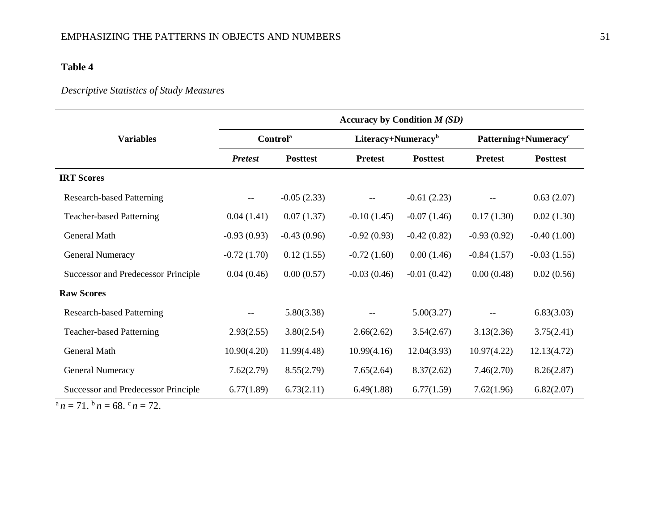# *Descriptive Statistics of Study Measures*

|                                                                                                                          | Accuracy by Condition $M(SD)$ |                             |                                |                 |                                  |                 |  |  |  |  |
|--------------------------------------------------------------------------------------------------------------------------|-------------------------------|-----------------------------|--------------------------------|-----------------|----------------------------------|-----------------|--|--|--|--|
| <b>Variables</b>                                                                                                         |                               | <b>Control</b> <sup>a</sup> | Literacy+Numeracy <sup>b</sup> |                 | Patterning+Numeracy <sup>c</sup> |                 |  |  |  |  |
|                                                                                                                          | <b>Pretest</b>                | <b>Posttest</b>             | <b>Pretest</b>                 | <b>Posttest</b> | <b>Pretest</b>                   | <b>Posttest</b> |  |  |  |  |
| <b>IRT Scores</b>                                                                                                        |                               |                             |                                |                 |                                  |                 |  |  |  |  |
| <b>Research-based Patterning</b>                                                                                         | $- -$                         | $-0.05(2.33)$               |                                | $-0.61(2.23)$   |                                  | 0.63(2.07)      |  |  |  |  |
| <b>Teacher-based Patterning</b>                                                                                          | 0.04(1.41)                    | 0.07(1.37)                  | $-0.10(1.45)$                  | $-0.07(1.46)$   | 0.17(1.30)                       | 0.02(1.30)      |  |  |  |  |
| General Math                                                                                                             | $-0.93(0.93)$                 | $-0.43(0.96)$               | $-0.92(0.93)$                  | $-0.42(0.82)$   | $-0.93(0.92)$                    | $-0.40(1.00)$   |  |  |  |  |
| <b>General Numeracy</b>                                                                                                  | $-0.72(1.70)$                 | 0.12(1.55)                  | $-0.72(1.60)$                  | 0.00(1.46)      | $-0.84(1.57)$                    | $-0.03(1.55)$   |  |  |  |  |
| Successor and Predecessor Principle                                                                                      | 0.04(0.46)                    | 0.00(0.57)                  | $-0.03(0.46)$                  | $-0.01(0.42)$   | 0.00(0.48)                       | 0.02(0.56)      |  |  |  |  |
| <b>Raw Scores</b>                                                                                                        |                               |                             |                                |                 |                                  |                 |  |  |  |  |
| <b>Research-based Patterning</b>                                                                                         | $- -$                         | 5.80(3.38)                  |                                | 5.00(3.27)      |                                  | 6.83(3.03)      |  |  |  |  |
| <b>Teacher-based Patterning</b>                                                                                          | 2.93(2.55)                    | 3.80(2.54)                  | 2.66(2.62)                     | 3.54(2.67)      | 3.13(2.36)                       | 3.75(2.41)      |  |  |  |  |
| <b>General Math</b>                                                                                                      | 10.90(4.20)                   | 11.99(4.48)                 | 10.99(4.16)                    | 12.04(3.93)     | 10.97(4.22)                      | 12.13(4.72)     |  |  |  |  |
| <b>General Numeracy</b>                                                                                                  | 7.62(2.79)                    | 8.55(2.79)                  | 7.65(2.64)                     | 8.37(2.62)      | 7.46(2.70)                       | 8.26(2.87)      |  |  |  |  |
| <b>Successor and Predecessor Principle</b><br>$\overline{a}$ $\overline{b}$ $\overline{c}$ $\overline{c}$ $\overline{c}$ | 6.77(1.89)                    | 6.73(2.11)                  | 6.49(1.88)                     | 6.77(1.59)      | 7.62(1.96)                       | 6.82(2.07)      |  |  |  |  |

 $a_n = 71. b_n = 68. c_n = 72.$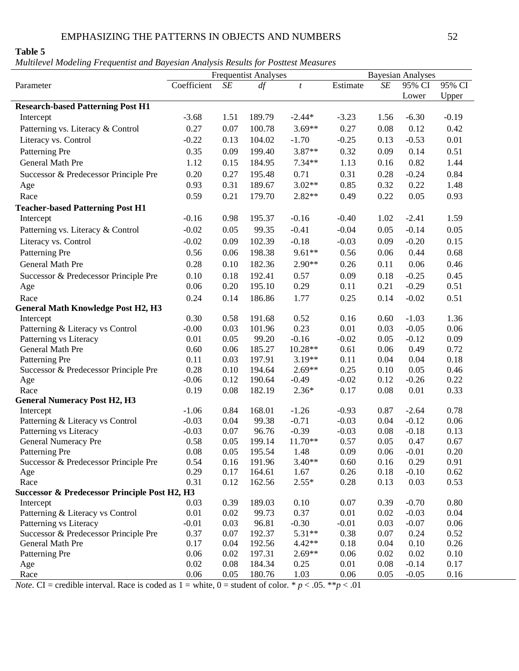*Multilevel Modeling Frequentist and Bayesian Analysis Results for Posttest Measures*

|                                                          | <b>Frequentist Analyses</b> |      |        |                  |          | <b>Bayesian Analyses</b> |         |          |
|----------------------------------------------------------|-----------------------------|------|--------|------------------|----------|--------------------------|---------|----------|
| Parameter                                                | Coefficient                 | SE   | df     | $\boldsymbol{t}$ | Estimate | SE                       | 95% CI  | 95% CI   |
|                                                          |                             |      |        |                  |          |                          | Lower   | Upper    |
| <b>Research-based Patterning Post H1</b>                 |                             |      |        |                  |          |                          |         |          |
| Intercept                                                | $-3.68$                     | 1.51 | 189.79 | $-2.44*$         | $-3.23$  | 1.56                     | $-6.30$ | $-0.19$  |
| Patterning vs. Literacy & Control                        | 0.27                        | 0.07 | 100.78 | $3.69**$         | 0.27     | 0.08                     | 0.12    | 0.42     |
| Literacy vs. Control                                     | $-0.22$                     | 0.13 | 104.02 | $-1.70$          | $-0.25$  | 0.13                     | $-0.53$ | 0.01     |
| Patterning Pre                                           | 0.35                        | 0.09 | 199.40 | 3.87**           | 0.32     | 0.09                     | 0.14    | 0.51     |
| General Math Pre                                         | 1.12                        | 0.15 | 184.95 | $7.34**$         | 1.13     | 0.16                     | 0.82    | 1.44     |
| Successor & Predecessor Principle Pre                    | 0.20                        | 0.27 | 195.48 | 0.71             | 0.31     | 0.28                     | $-0.24$ | 0.84     |
| Age                                                      | 0.93                        | 0.31 | 189.67 | $3.02**$         | 0.85     | 0.32                     | 0.22    | 1.48     |
| Race                                                     | 0.59                        | 0.21 | 179.70 | $2.82**$         | 0.49     | 0.22                     | 0.05    | 0.93     |
|                                                          |                             |      |        |                  |          |                          |         |          |
| <b>Teacher-based Patterning Post H1</b>                  | $-0.16$                     | 0.98 | 195.37 | $-0.16$          | $-0.40$  | 1.02                     | $-2.41$ | 1.59     |
| Intercept                                                |                             |      |        |                  |          |                          |         |          |
| Patterning vs. Literacy & Control                        | $-0.02$                     | 0.05 | 99.35  | $-0.41$          | $-0.04$  | 0.05                     | $-0.14$ | 0.05     |
| Literacy vs. Control                                     | $-0.02$                     | 0.09 | 102.39 | $-0.18$          | $-0.03$  | 0.09                     | $-0.20$ | 0.15     |
| Patterning Pre                                           | 0.56                        | 0.06 | 198.38 | $9.61**$         | 0.56     | 0.06                     | 0.44    | 0.68     |
| General Math Pre                                         | 0.28                        | 0.10 | 182.36 | 2.90**           | 0.26     | 0.11                     | 0.06    | 0.46     |
| Successor & Predecessor Principle Pre                    | 0.10                        | 0.18 | 192.41 | 0.57             | 0.09     | 0.18                     | $-0.25$ | 0.45     |
| Age                                                      | 0.06                        | 0.20 | 195.10 | 0.29             | 0.11     | 0.21                     | $-0.29$ | 0.51     |
| Race                                                     | 0.24                        | 0.14 | 186.86 | 1.77             | 0.25     | 0.14                     | $-0.02$ | 0.51     |
| <b>General Math Knowledge Post H2, H3</b>                |                             |      |        |                  |          |                          |         |          |
| Intercept                                                | 0.30                        | 0.58 | 191.68 | 0.52             | 0.16     | 0.60                     | $-1.03$ | 1.36     |
| Patterning & Literacy vs Control                         | $-0.00$                     | 0.03 | 101.96 | 0.23             | 0.01     | 0.03                     | $-0.05$ | 0.06     |
| Patterning vs Literacy                                   | 0.01                        | 0.05 | 99.20  | $-0.16$          | $-0.02$  | 0.05                     | $-0.12$ | 0.09     |
| General Math Pre                                         | 0.60                        | 0.06 | 185.27 | 10.28**          | 0.61     | 0.06                     | 0.49    | 0.72     |
| Patterning Pre                                           | 0.11                        | 0.03 | 197.91 | $3.19**$         | 0.11     | 0.04                     | 0.04    | 0.18     |
| Successor & Predecessor Principle Pre                    | 0.28                        | 0.10 | 194.64 | $2.69**$         | 0.25     | 0.10                     | 0.05    | 0.46     |
| Age                                                      | $-0.06$                     | 0.12 | 190.64 | $-0.49$          | $-0.02$  | 0.12                     | $-0.26$ | 0.22     |
| Race                                                     | 0.19                        | 0.08 | 182.19 | $2.36*$          | 0.17     | 0.08                     | 0.01    | 0.33     |
| <b>General Numeracy Post H2, H3</b>                      |                             |      |        |                  |          |                          |         |          |
| Intercept                                                | $-1.06$                     | 0.84 | 168.01 | $-1.26$          | $-0.93$  | 0.87                     | $-2.64$ | 0.78     |
| Patterning & Literacy vs Control                         | $-0.03$                     | 0.04 | 99.38  | $-0.71$          | $-0.03$  | 0.04                     | $-0.12$ | 0.06     |
| Patterning vs Literacy                                   | $-0.03$                     | 0.07 | 96.76  | $-0.39$          | $-0.03$  | 0.08                     | $-0.18$ | 0.13     |
| <b>General Numeracy Pre</b>                              | 0.58                        | 0.05 | 199.14 | $11.70**$        | 0.57     | 0.05                     | 0.47    | 0.67     |
| Patterning Pre                                           | 0.08                        | 0.05 | 195.54 | 1.48             | 0.09     | 0.06                     | $-0.01$ | 0.20     |
| Successor & Predecessor Principle Pre                    | 0.54                        | 0.16 | 191.96 | $3.40**$         | 0.60     | 0.16                     | 0.29    | 0.91     |
| Age                                                      | 0.29                        | 0.17 | 164.61 | 1.67             | 0.26     | 0.18                     | $-0.10$ | 0.62     |
| Race                                                     | 0.31                        | 0.12 | 162.56 | $2.55*$          | 0.28     | 0.13                     | 0.03    | 0.53     |
| <b>Successor &amp; Predecessor Principle Post H2, H3</b> |                             |      |        |                  |          |                          |         |          |
| Intercept                                                | 0.03                        | 0.39 | 189.03 | 0.10             | 0.07     | 0.39                     | $-0.70$ | $0.80\,$ |
| Patterning & Literacy vs Control                         | 0.01                        | 0.02 | 99.73  | 0.37             | 0.01     | 0.02                     | $-0.03$ | 0.04     |
| Patterning vs Literacy                                   | $-0.01$                     | 0.03 | 96.81  | $-0.30$          | $-0.01$  | 0.03                     | $-0.07$ | 0.06     |
| Successor & Predecessor Principle Pre                    | 0.37                        | 0.07 | 192.37 | $5.31**$         | 0.38     | 0.07                     | 0.24    | 0.52     |
| General Math Pre                                         | 0.17                        | 0.04 | 192.56 | $4.42**$         | 0.18     | 0.04                     | 0.10    | 0.26     |
| Patterning Pre                                           | 0.06                        | 0.02 | 197.31 | $2.69**$         | 0.06     | 0.02                     | 0.02    | 0.10     |
| Age                                                      | 0.02                        | 0.08 | 184.34 | 0.25             | 0.01     | 0.08                     | $-0.14$ | 0.17     |
| Race                                                     | 0.06                        | 0.05 | 180.76 | 1.03             | 0.06     | 0.05                     | $-0.05$ | 0.16     |

*Note.* CI = credible interval. Race is coded as  $1 =$  white,  $0 =$  student of color. \*  $p < .05$ . \*\* $p < .01$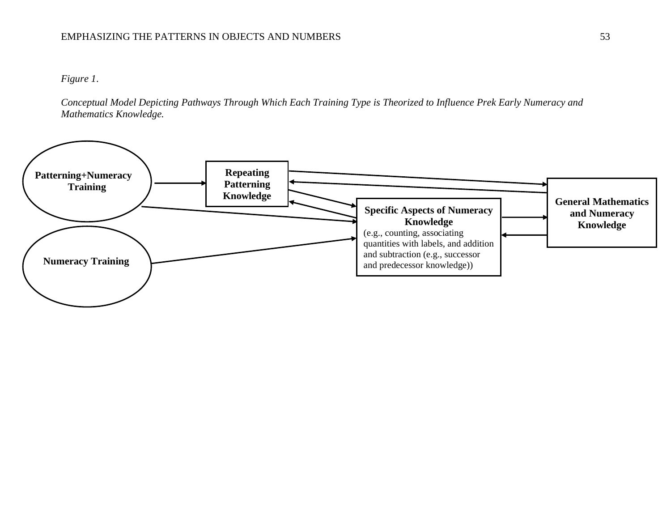# EMPHASIZING THE PATTERNS IN OBJECTS AND NUMBERS 53

# *Figure 1*.

*Conceptual Model Depicting Pathways Through Which Each Training Type is Theorized to Influence Prek Early Numeracy and Mathematics Knowledge.*

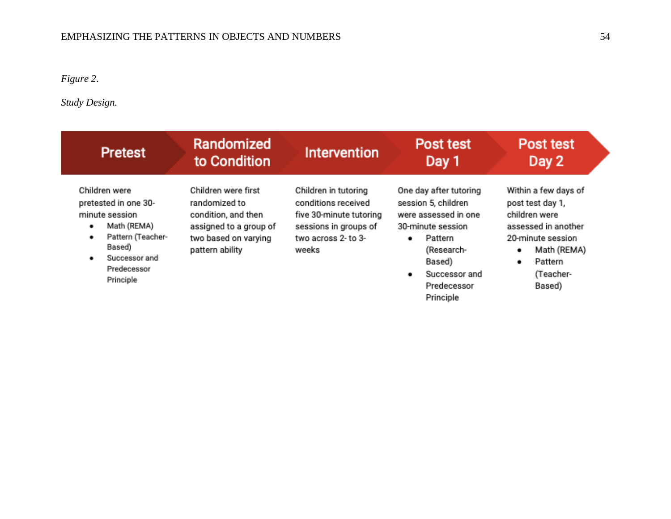# *Figure 2*.

*Study Design.*

| <b>Pretest</b>                                                                                                                                               | Randomized                                                                                                                       |                                                                                                                                 | Post test                                                                                                                                                                             | Post test                                                                                                                                                         |  |  |
|--------------------------------------------------------------------------------------------------------------------------------------------------------------|----------------------------------------------------------------------------------------------------------------------------------|---------------------------------------------------------------------------------------------------------------------------------|---------------------------------------------------------------------------------------------------------------------------------------------------------------------------------------|-------------------------------------------------------------------------------------------------------------------------------------------------------------------|--|--|
|                                                                                                                                                              | to Condition                                                                                                                     |                                                                                                                                 | Day 1                                                                                                                                                                                 | Day 2                                                                                                                                                             |  |  |
| Children were<br>pretested in one 30-<br>minute session<br>Math (REMA)<br>٠<br>Pattern (Teacher-<br>٠<br>Based)<br>Successor and<br>Predecessor<br>Principle | Children were first<br>randomized to<br>condition, and then<br>assigned to a group of<br>two based on varying<br>pattern ability | Children in tutoring<br>conditions received<br>five 30-minute tutoring<br>sessions in groups of<br>two across 2- to 3-<br>weeks | One day after tutoring<br>session 5, children<br>were assessed in one<br>30-minute session<br>Pattern.<br>٠<br>(Research-<br>Based)<br>Successor and<br>٠<br>Predecessor<br>Principle | Within a few days of<br>post test day 1,<br>children were<br>assessed in another<br>20-minute session<br>Math (REMA)<br>٠<br>Pattern.<br>٠<br>(Teacher-<br>Based) |  |  |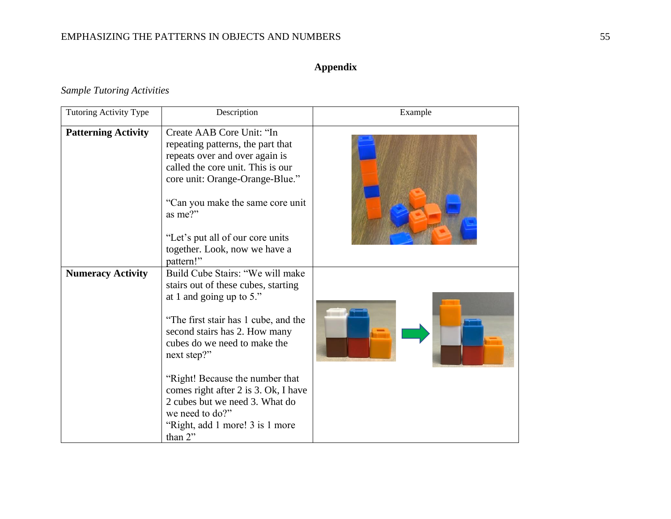# EMPHASIZING THE PATTERNS IN OBJECTS AND NUMBERS 55

# **Appendix**

*Sample Tutoring Activities*

| <b>Tutoring Activity Type</b> | Description                                                                                                                                                                                                                 | Example |
|-------------------------------|-----------------------------------------------------------------------------------------------------------------------------------------------------------------------------------------------------------------------------|---------|
| <b>Patterning Activity</b>    | Create AAB Core Unit: "In<br>repeating patterns, the part that<br>repeats over and over again is<br>called the core unit. This is our<br>core unit: Orange-Orange-Blue."<br>"Can you make the same core unit"<br>as me?"    |         |
|                               | "Let's put all of our core units"<br>together. Look, now we have a<br>pattern!"                                                                                                                                             |         |
| <b>Numeracy Activity</b>      | Build Cube Stairs: "We will make<br>stairs out of these cubes, starting<br>at 1 and going up to 5."<br>"The first stair has 1 cube, and the<br>second stairs has 2. How many<br>cubes do we need to make the<br>next step?" |         |
|                               | "Right! Because the number that<br>comes right after 2 is 3. Ok, I have<br>2 cubes but we need 3. What do<br>we need to do?"<br>"Right, add 1 more! 3 is 1 more<br>than 2"                                                  |         |